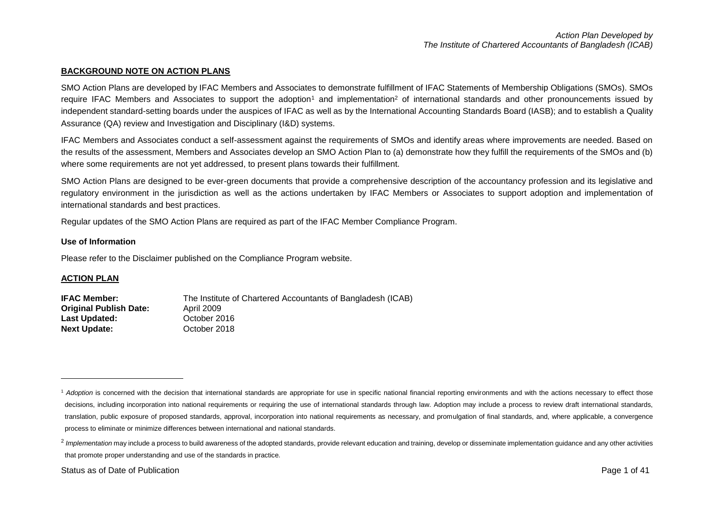#### **BACKGROUND NOTE ON ACTION PLANS**

SMO Action Plans are developed by IFAC Members and Associates to demonstrate fulfillment of IFAC Statements of Membership Obligations (SMOs). SMOs require IFAC Members and Associates to support the adoption<sup>1</sup> and implementation<sup>2</sup> of international standards and other pronouncements issued by independent standard-setting boards under the auspices of IFAC as well as by the International Accounting Standards Board (IASB); and to establish a Quality Assurance (QA) review and Investigation and Disciplinary (I&D) systems.

IFAC Members and Associates conduct a self-assessment against the requirements of SMOs and identify areas where improvements are needed. Based on the results of the assessment, Members and Associates develop an SMO Action Plan to (a) demonstrate how they fulfill the requirements of the SMOs and (b) where some requirements are not yet addressed, to present plans towards their fulfillment.

SMO Action Plans are designed to be ever-green documents that provide a comprehensive description of the accountancy profession and its legislative and regulatory environment in the jurisdiction as well as the actions undertaken by IFAC Members or Associates to support adoption and implementation of international standards and best practices.

Regular updates of the SMO Action Plans are required as part of the IFAC Member Compliance Program.

#### **Use of Information**

Please refer to the Disclaimer published on the Compliance Program website.

#### **ACTION PLAN**

1

| IFAC Member:                  | The Institute of Chartered Accountants of Bangladesh (ICAB) |
|-------------------------------|-------------------------------------------------------------|
| <b>Original Publish Date:</b> | April 2009                                                  |
| Last Updated:                 | October 2016                                                |
| <b>Next Update:</b>           | October 2018                                                |

<sup>&</sup>lt;sup>1</sup> Adoption is concerned with the decision that international standards are appropriate for use in specific national financial reporting environments and with the actions necessary to effect those decisions, including incorporation into national requirements or requiring the use of international standards through law. Adoption may include a process to review draft international standards, translation, public exposure of proposed standards, approval, incorporation into national requirements as necessary, and promulgation of final standards, and, where applicable, a convergence process to eliminate or minimize differences between international and national standards.

<sup>&</sup>lt;sup>2</sup> Implementation may include a process to build awareness of the adopted standards, provide relevant education and training, develop or disseminate implementation guidance and any other activities that promote proper understanding and use of the standards in practice.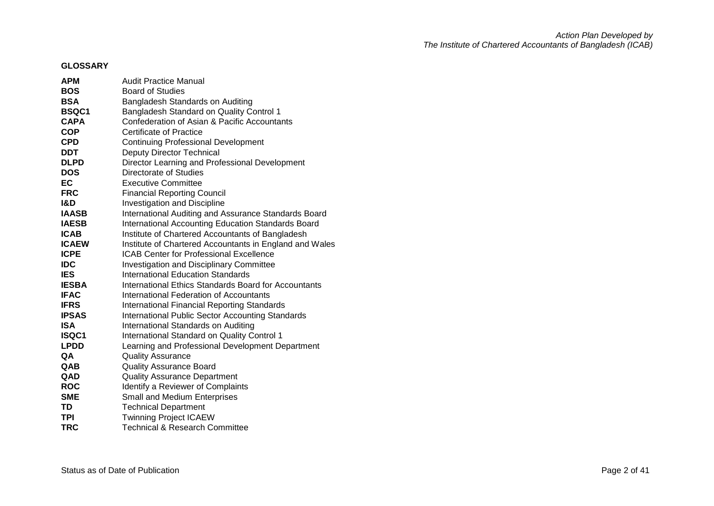# **GLOSSARY**

| <b>APM</b>   | <b>Audit Practice Manual</b>                            |
|--------------|---------------------------------------------------------|
| <b>BOS</b>   | <b>Board of Studies</b>                                 |
| <b>BSA</b>   | Bangladesh Standards on Auditing                        |
| <b>BSQC1</b> | <b>Bangladesh Standard on Quality Control 1</b>         |
| <b>CAPA</b>  | Confederation of Asian & Pacific Accountants            |
| <b>COP</b>   | Certificate of Practice                                 |
| <b>CPD</b>   | <b>Continuing Professional Development</b>              |
| <b>DDT</b>   | Deputy Director Technical                               |
| <b>DLPD</b>  | Director Learning and Professional Development          |
| <b>DOS</b>   | Directorate of Studies                                  |
| EC           | <b>Executive Committee</b>                              |
| <b>FRC</b>   | <b>Financial Reporting Council</b>                      |
| I&D          | <b>Investigation and Discipline</b>                     |
| <b>IAASB</b> | International Auditing and Assurance Standards Board    |
| <b>IAESB</b> | International Accounting Education Standards Board      |
| <b>ICAB</b>  | Institute of Chartered Accountants of Bangladesh        |
| <b>ICAEW</b> | Institute of Chartered Accountants in England and Wales |
| <b>ICPE</b>  | <b>ICAB Center for Professional Excellence</b>          |
| <b>IDC</b>   | <b>Investigation and Disciplinary Committee</b>         |
| <b>IES</b>   | <b>International Education Standards</b>                |
| <b>IESBA</b> | International Ethics Standards Board for Accountants    |
| <b>IFAC</b>  | International Federation of Accountants                 |
| <b>IFRS</b>  | International Financial Reporting Standards             |
| <b>IPSAS</b> | <b>International Public Sector Accounting Standards</b> |
| <b>ISA</b>   | International Standards on Auditing                     |
| <b>ISQC1</b> | International Standard on Quality Control 1             |
| <b>LPDD</b>  | Learning and Professional Development Department        |
| QA           | <b>Quality Assurance</b>                                |
| QAB          | <b>Quality Assurance Board</b>                          |
| QAD          | <b>Quality Assurance Department</b>                     |
| <b>ROC</b>   | Identify a Reviewer of Complaints                       |
| <b>SME</b>   | <b>Small and Medium Enterprises</b>                     |
| TD           | <b>Technical Department</b>                             |
| <b>TPI</b>   | <b>Twinning Project ICAEW</b>                           |
| <b>TRC</b>   | <b>Technical &amp; Research Committee</b>               |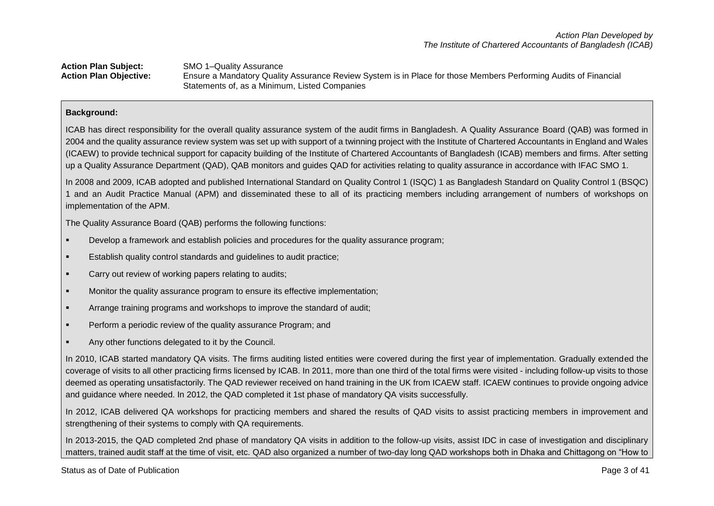**Action Plan Subject:** SMO 1–Quality Assurance **Action Plan Objective:** Ensure a Mandatory Quality Assurance Review System is in Place for those Members Performing Audits of Financial Statements of, as a Minimum, Listed Companies

## **Background:**

ICAB has direct responsibility for the overall quality assurance system of the audit firms in Bangladesh. A Quality Assurance Board (QAB) was formed in 2004 and the quality assurance review system was set up with support of a twinning project with the Institute of Chartered Accountants in England and Wales (ICAEW) to provide technical support for capacity building of the Institute of Chartered Accountants of Bangladesh (ICAB) members and firms. After setting up a Quality Assurance Department (QAD), QAB monitors and guides QAD for activities relating to quality assurance in accordance with IFAC SMO 1.

In 2008 and 2009, ICAB adopted and published International Standard on Quality Control 1 (ISQC) 1 as Bangladesh Standard on Quality Control 1 (BSQC) 1 and an Audit Practice Manual (APM) and disseminated these to all of its practicing members including arrangement of numbers of workshops on implementation of the APM.

The Quality Assurance Board (QAB) performs the following functions:

- Develop a framework and establish policies and procedures for the quality assurance program;
- Establish quality control standards and guidelines to audit practice;
- **EXEC** Carry out review of working papers relating to audits;
- Monitor the quality assurance program to ensure its effective implementation;
- Arrange training programs and workshops to improve the standard of audit;
- Perform a periodic review of the quality assurance Program; and
- Any other functions delegated to it by the Council.

In 2010, ICAB started mandatory QA visits. The firms auditing listed entities were covered during the first year of implementation. Gradually extended the coverage of visits to all other practicing firms licensed by ICAB. In 2011, more than one third of the total firms were visited - including follow-up visits to those deemed as operating unsatisfactorily. The QAD reviewer received on hand training in the UK from ICAEW staff. ICAEW continues to provide ongoing advice and guidance where needed. In 2012, the QAD completed it 1st phase of mandatory QA visits successfully.

In 2012, ICAB delivered QA workshops for practicing members and shared the results of QAD visits to assist practicing members in improvement and strengthening of their systems to comply with QA requirements.

In 2013-2015, the QAD completed 2nd phase of mandatory QA visits in addition to the follow-up visits, assist IDC in case of investigation and disciplinary matters, trained audit staff at the time of visit, etc. QAD also organized a number of two-day long QAD workshops both in Dhaka and Chittagong on "How to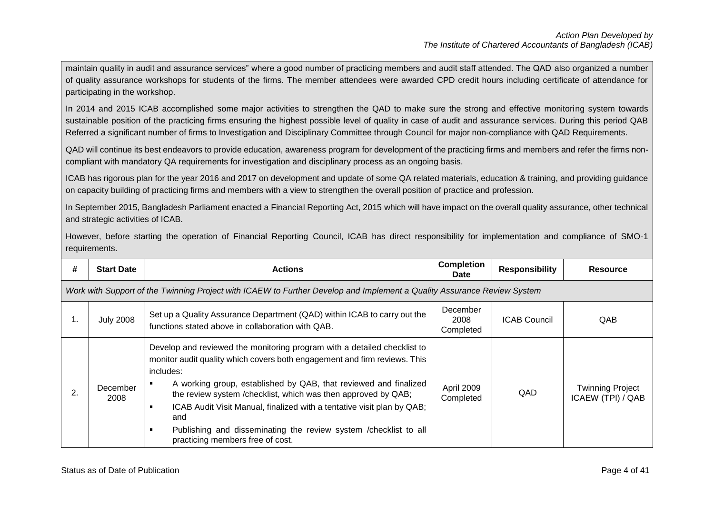maintain quality in audit and assurance services" where a good number of practicing members and audit staff attended. The QAD also organized a number of quality assurance workshops for students of the firms. The member attendees were awarded CPD credit hours including certificate of attendance for participating in the workshop.

In 2014 and 2015 ICAB accomplished some major activities to strengthen the QAD to make sure the strong and effective monitoring system towards sustainable position of the practicing firms ensuring the highest possible level of quality in case of audit and assurance services. During this period QAB Referred a significant number of firms to Investigation and Disciplinary Committee through Council for major non-compliance with QAD Requirements.

QAD will continue its best endeavors to provide education, awareness program for development of the practicing firms and members and refer the firms noncompliant with mandatory QA requirements for investigation and disciplinary process as an ongoing basis.

ICAB has rigorous plan for the year 2016 and 2017 on development and update of some QA related materials, education & training, and providing guidance on capacity building of practicing firms and members with a view to strengthen the overall position of practice and profession.

In September 2015, Bangladesh Parliament enacted a Financial Reporting Act, 2015 which will have impact on the overall quality assurance, other technical and strategic activities of ICAB.

However, before starting the operation of Financial Reporting Council, ICAB has direct responsibility for implementation and compliance of SMO-1 requirements.

| #  | <b>Start Date</b> | <b>Actions</b>                                                                                                                                                                                                                                                                                                                                                                                                                                                                                              | <b>Completion</b><br><b>Date</b> | <b>Responsibility</b> | <b>Resource</b>                              |
|----|-------------------|-------------------------------------------------------------------------------------------------------------------------------------------------------------------------------------------------------------------------------------------------------------------------------------------------------------------------------------------------------------------------------------------------------------------------------------------------------------------------------------------------------------|----------------------------------|-----------------------|----------------------------------------------|
|    |                   | Work with Support of the Twinning Project with ICAEW to Further Develop and Implement a Quality Assurance Review System                                                                                                                                                                                                                                                                                                                                                                                     |                                  |                       |                                              |
| 1. | <b>July 2008</b>  | Set up a Quality Assurance Department (QAD) within ICAB to carry out the<br>functions stated above in collaboration with QAB.                                                                                                                                                                                                                                                                                                                                                                               | December<br>2008<br>Completed    | <b>ICAB Council</b>   | QAB                                          |
| 2. | December<br>2008  | Develop and reviewed the monitoring program with a detailed checklist to<br>monitor audit quality which covers both engagement and firm reviews. This<br>includes:<br>A working group, established by QAB, that reviewed and finalized<br>the review system / checklist, which was then approved by QAB;<br>ICAB Audit Visit Manual, finalized with a tentative visit plan by QAB;<br>٠<br>and<br>Publishing and disseminating the review system /checklist to all<br>٠<br>practicing members free of cost. | April 2009<br>Completed          | QAD                   | <b>Twinning Project</b><br>ICAEW (TPI) / QAB |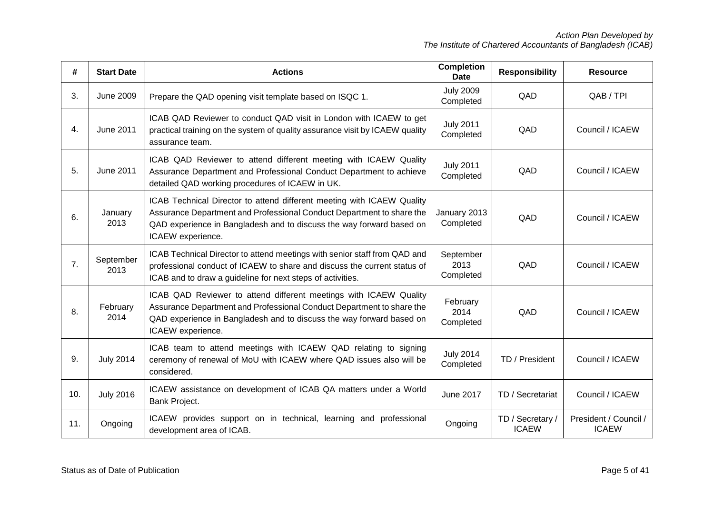| #   | <b>Start Date</b> | <b>Actions</b>                                                                                                                                                                                                                               | <b>Completion</b><br><b>Date</b> | <b>Responsibility</b>            | <b>Resource</b>                       |
|-----|-------------------|----------------------------------------------------------------------------------------------------------------------------------------------------------------------------------------------------------------------------------------------|----------------------------------|----------------------------------|---------------------------------------|
| 3.  | <b>June 2009</b>  | Prepare the QAD opening visit template based on ISQC 1.                                                                                                                                                                                      | <b>July 2009</b><br>Completed    | QAD                              | QAB / TPI                             |
| 4.  | <b>June 2011</b>  | ICAB QAD Reviewer to conduct QAD visit in London with ICAEW to get<br>practical training on the system of quality assurance visit by ICAEW quality<br>assurance team.                                                                        | <b>July 2011</b><br>Completed    | QAD                              | Council / ICAEW                       |
| 5.  | June 2011         | ICAB QAD Reviewer to attend different meeting with ICAEW Quality<br>Assurance Department and Professional Conduct Department to achieve<br>detailed QAD working procedures of ICAEW in UK.                                                   | <b>July 2011</b><br>Completed    | QAD                              | Council / ICAEW                       |
| 6.  | January<br>2013   | ICAB Technical Director to attend different meeting with ICAEW Quality<br>Assurance Department and Professional Conduct Department to share the<br>QAD experience in Bangladesh and to discuss the way forward based on<br>ICAEW experience. | January 2013<br>Completed        | QAD                              | Council / ICAEW                       |
| 7.  | September<br>2013 | ICAB Technical Director to attend meetings with senior staff from QAD and<br>professional conduct of ICAEW to share and discuss the current status of<br>ICAB and to draw a guideline for next steps of activities.                          | September<br>2013<br>Completed   | QAD                              | Council / ICAEW                       |
| 8.  | February<br>2014  | ICAB QAD Reviewer to attend different meetings with ICAEW Quality<br>Assurance Department and Professional Conduct Department to share the<br>QAD experience in Bangladesh and to discuss the way forward based on<br>ICAEW experience.      | February<br>2014<br>Completed    | QAD                              | Council / ICAEW                       |
| 9.  | <b>July 2014</b>  | ICAB team to attend meetings with ICAEW QAD relating to signing<br>ceremony of renewal of MoU with ICAEW where QAD issues also will be<br>considered.                                                                                        | <b>July 2014</b><br>Completed    | TD / President                   | Council / ICAEW                       |
| 10. | <b>July 2016</b>  | ICAEW assistance on development of ICAB QA matters under a World<br>Bank Project.                                                                                                                                                            | <b>June 2017</b>                 | TD / Secretariat                 | Council / ICAEW                       |
| 11. | Ongoing           | ICAEW provides support on in technical, learning and professional<br>development area of ICAB.                                                                                                                                               | Ongoing                          | TD / Secretary /<br><b>ICAEW</b> | President / Council /<br><b>ICAEW</b> |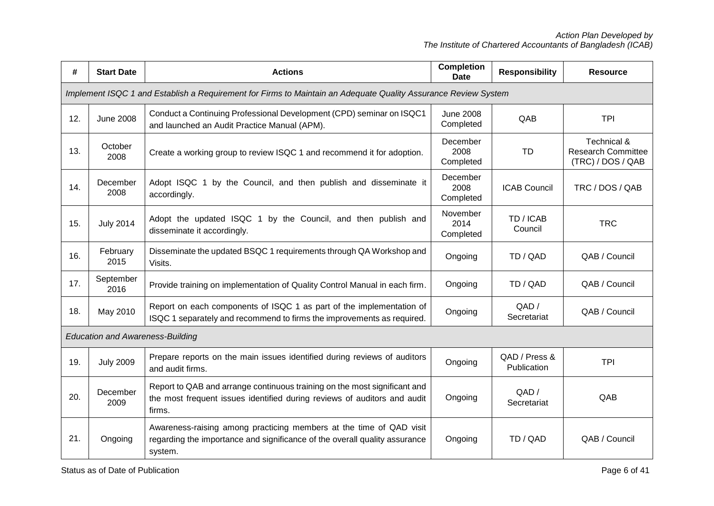| #   | <b>Start Date</b>                       | <b>Actions</b>                                                                                                                                                  | <b>Completion</b><br><b>Date</b> | <b>Responsibility</b>        | <b>Resource</b>                                               |
|-----|-----------------------------------------|-----------------------------------------------------------------------------------------------------------------------------------------------------------------|----------------------------------|------------------------------|---------------------------------------------------------------|
|     |                                         | Implement ISQC 1 and Establish a Requirement for Firms to Maintain an Adequate Quality Assurance Review System                                                  |                                  |                              |                                                               |
| 12. | <b>June 2008</b>                        | Conduct a Continuing Professional Development (CPD) seminar on ISQC1<br>and launched an Audit Practice Manual (APM).                                            | <b>June 2008</b><br>Completed    | QAB                          | <b>TPI</b>                                                    |
| 13. | October<br>2008                         | Create a working group to review ISQC 1 and recommend it for adoption.                                                                                          | December<br>2008<br>Completed    | <b>TD</b>                    | Technical &<br><b>Research Committee</b><br>(TRC) / DOS / QAB |
| 14. | December<br>2008                        | Adopt ISQC 1<br>by the Council, and then publish and disseminate it<br>accordingly.                                                                             | December<br>2008<br>Completed    | <b>ICAB Council</b>          | TRC / DOS / QAB                                               |
| 15. | <b>July 2014</b>                        | Adopt the updated ISQC 1 by the Council, and then publish and<br>disseminate it accordingly.                                                                    | November<br>2014<br>Completed    | TD / ICAB<br>Council         | <b>TRC</b>                                                    |
| 16. | February<br>2015                        | Disseminate the updated BSQC 1 requirements through QA Workshop and<br>Visits.                                                                                  | Ongoing                          | TD / QAD                     | QAB / Council                                                 |
| 17. | September<br>2016                       | Provide training on implementation of Quality Control Manual in each firm.                                                                                      | Ongoing                          | TD / QAD                     | QAB / Council                                                 |
| 18. | May 2010                                | Report on each components of ISQC 1 as part of the implementation of<br>ISQC 1 separately and recommend to firms the improvements as required.                  | Ongoing                          | QAD /<br>Secretariat         | QAB / Council                                                 |
|     | <b>Education and Awareness-Building</b> |                                                                                                                                                                 |                                  |                              |                                                               |
| 19. | <b>July 2009</b>                        | Prepare reports on the main issues identified during reviews of auditors<br>and audit firms.                                                                    | Ongoing                          | QAD / Press &<br>Publication | <b>TPI</b>                                                    |
| 20. | December<br>2009                        | Report to QAB and arrange continuous training on the most significant and<br>the most frequent issues identified during reviews of auditors and audit<br>firms. | Ongoing                          | QAD/<br>Secretariat          | QAB                                                           |
| 21. | Ongoing                                 | Awareness-raising among practicing members at the time of QAD visit<br>regarding the importance and significance of the overall quality assurance<br>system.    | Ongoing                          | TD / QAD                     | QAB / Council                                                 |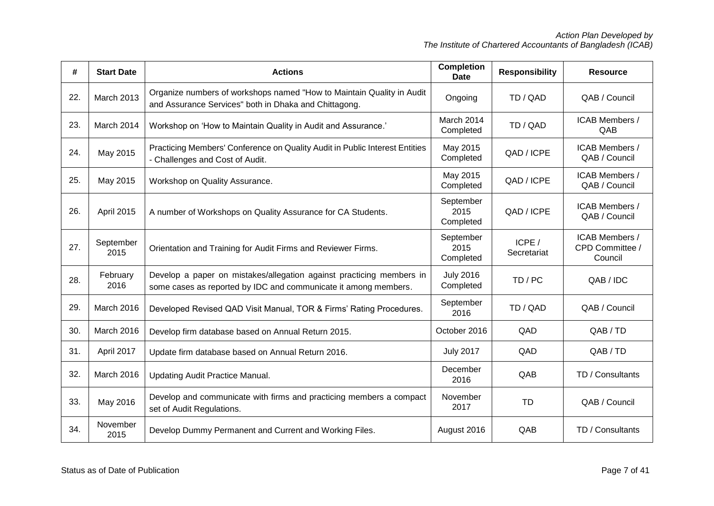| #   | <b>Start Date</b> | <b>Actions</b>                                                                                                                          | <b>Completion</b><br><b>Date</b> | <b>Responsibility</b> | <b>Resource</b>                              |
|-----|-------------------|-----------------------------------------------------------------------------------------------------------------------------------------|----------------------------------|-----------------------|----------------------------------------------|
| 22. | <b>March 2013</b> | Organize numbers of workshops named "How to Maintain Quality in Audit<br>and Assurance Services" both in Dhaka and Chittagong.          | Ongoing                          | TD / QAD              | QAB / Council                                |
| 23. | March 2014        | Workshop on 'How to Maintain Quality in Audit and Assurance.'                                                                           | March 2014<br>Completed          | TD / QAD              | ICAB Members /<br>QAB                        |
| 24. | May 2015          | Practicing Members' Conference on Quality Audit in Public Interest Entities<br>- Challenges and Cost of Audit.                          | May 2015<br>Completed            | QAD / ICPE            | ICAB Members /<br>QAB / Council              |
| 25. | May 2015          | Workshop on Quality Assurance.                                                                                                          | May 2015<br>Completed            | QAD / ICPE            | ICAB Members /<br>QAB / Council              |
| 26. | April 2015        | A number of Workshops on Quality Assurance for CA Students.                                                                             | September<br>2015<br>Completed   | QAD / ICPE            | ICAB Members /<br>QAB / Council              |
| 27. | September<br>2015 | Orientation and Training for Audit Firms and Reviewer Firms.                                                                            | September<br>2015<br>Completed   | ICPE /<br>Secretariat | ICAB Members /<br>CPD Committee /<br>Council |
| 28. | February<br>2016  | Develop a paper on mistakes/allegation against practicing members in<br>some cases as reported by IDC and communicate it among members. | <b>July 2016</b><br>Completed    | TD/PC                 | QAB / IDC                                    |
| 29. | March 2016        | Developed Revised QAD Visit Manual, TOR & Firms' Rating Procedures.                                                                     | September<br>2016                | TD / QAD              | QAB / Council                                |
| 30. | March 2016        | Develop firm database based on Annual Return 2015.                                                                                      | October 2016                     | QAD                   | QAB / TD                                     |
| 31. | April 2017        | Update firm database based on Annual Return 2016.                                                                                       | <b>July 2017</b>                 | QAD                   | QAB / TD                                     |
| 32. | March 2016        | <b>Updating Audit Practice Manual.</b>                                                                                                  | December<br>2016                 | QAB                   | TD / Consultants                             |
| 33. | May 2016          | Develop and communicate with firms and practicing members a compact<br>set of Audit Regulations.                                        | November<br>2017                 | TD                    | QAB / Council                                |
| 34. | November<br>2015  | Develop Dummy Permanent and Current and Working Files.                                                                                  | August 2016                      | QAB                   | TD / Consultants                             |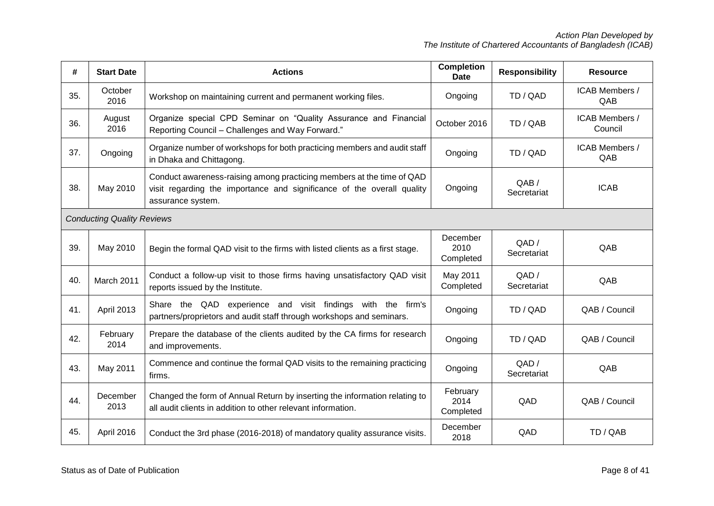| #   | <b>Start Date</b>                 | <b>Actions</b>                                                                                                                                                       | <b>Completion</b><br><b>Date</b> | <b>Responsibility</b> | <b>Resource</b>           |
|-----|-----------------------------------|----------------------------------------------------------------------------------------------------------------------------------------------------------------------|----------------------------------|-----------------------|---------------------------|
| 35. | October<br>2016                   | Workshop on maintaining current and permanent working files.                                                                                                         | Ongoing                          | TD / QAD              | ICAB Members /<br>QAB     |
| 36. | August<br>2016                    | Organize special CPD Seminar on "Quality Assurance and Financial<br>Reporting Council - Challenges and Way Forward."                                                 | October 2016                     | TD / QAB              | ICAB Members /<br>Council |
| 37. | Ongoing                           | Organize number of workshops for both practicing members and audit staff<br>in Dhaka and Chittagong.                                                                 | Ongoing                          | TD / QAD              | ICAB Members /<br>QAB     |
| 38. | May 2010                          | Conduct awareness-raising among practicing members at the time of QAD<br>visit regarding the importance and significance of the overall quality<br>assurance system. | Ongoing                          | QAB/<br>Secretariat   | <b>ICAB</b>               |
|     | <b>Conducting Quality Reviews</b> |                                                                                                                                                                      |                                  |                       |                           |
| 39. | May 2010                          | Begin the formal QAD visit to the firms with listed clients as a first stage.                                                                                        | December<br>2010<br>Completed    | QAD/<br>Secretariat   | QAB                       |
| 40. | March 2011                        | Conduct a follow-up visit to those firms having unsatisfactory QAD visit<br>reports issued by the Institute.                                                         | May 2011<br>Completed            | QAD/<br>Secretariat   | QAB                       |
| 41. | <b>April 2013</b>                 | Share the QAD experience and visit findings with the firm's<br>partners/proprietors and audit staff through workshops and seminars.                                  | Ongoing                          | TD / QAD              | QAB / Council             |
| 42. | February<br>2014                  | Prepare the database of the clients audited by the CA firms for research<br>and improvements.                                                                        | Ongoing                          | TD / QAD              | QAB / Council             |
| 43. | May 2011                          | Commence and continue the formal QAD visits to the remaining practicing<br>firms.                                                                                    | Ongoing                          | QAD/<br>Secretariat   | QAB                       |
| 44. | December<br>2013                  | Changed the form of Annual Return by inserting the information relating to<br>all audit clients in addition to other relevant information.                           | February<br>2014<br>Completed    | QAD                   | QAB / Council             |
| 45. | April 2016                        | Conduct the 3rd phase (2016-2018) of mandatory quality assurance visits.                                                                                             | December<br>2018                 | QAD                   | TD / QAB                  |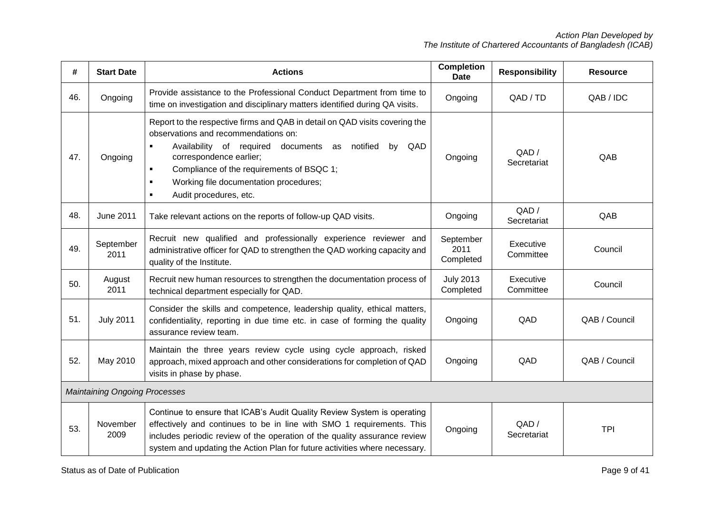| #   | <b>Start Date</b>                    | <b>Actions</b>                                                                                                                                                                                                                                                                                                                                                                                               | <b>Completion</b><br><b>Date</b> | <b>Responsibility</b>  | <b>Resource</b> |
|-----|--------------------------------------|--------------------------------------------------------------------------------------------------------------------------------------------------------------------------------------------------------------------------------------------------------------------------------------------------------------------------------------------------------------------------------------------------------------|----------------------------------|------------------------|-----------------|
| 46. | Ongoing                              | Provide assistance to the Professional Conduct Department from time to<br>time on investigation and disciplinary matters identified during QA visits.                                                                                                                                                                                                                                                        | Ongoing                          | QAD / TD               | QAB / IDC       |
| 47. | Ongoing                              | Report to the respective firms and QAB in detail on QAD visits covering the<br>observations and recommendations on:<br>notified<br>Availability of required<br>QAD<br>documents as<br>by<br>$\blacksquare$<br>correspondence earlier;<br>Compliance of the requirements of BSQC 1;<br>$\blacksquare$<br>Working file documentation procedures;<br>$\blacksquare$<br>Audit procedures, etc.<br>$\blacksquare$ | Ongoing                          | QAD/<br>Secretariat    | QAB             |
| 48. | <b>June 2011</b>                     | Take relevant actions on the reports of follow-up QAD visits.                                                                                                                                                                                                                                                                                                                                                | Ongoing                          | QAD/<br>Secretariat    | QAB             |
| 49. | September<br>2011                    | Recruit new qualified and professionally experience reviewer and<br>administrative officer for QAD to strengthen the QAD working capacity and<br>quality of the Institute.                                                                                                                                                                                                                                   | September<br>2011<br>Completed   | Executive<br>Committee | Council         |
| 50. | August<br>2011                       | Recruit new human resources to strengthen the documentation process of<br>technical department especially for QAD.                                                                                                                                                                                                                                                                                           | <b>July 2013</b><br>Completed    | Executive<br>Committee | Council         |
| 51. | <b>July 2011</b>                     | Consider the skills and competence, leadership quality, ethical matters,<br>confidentiality, reporting in due time etc. in case of forming the quality<br>assurance review team.                                                                                                                                                                                                                             | Ongoing                          | QAD                    | QAB / Council   |
| 52. | May 2010                             | Maintain the three years review cycle using cycle approach, risked<br>approach, mixed approach and other considerations for completion of QAD<br>visits in phase by phase.                                                                                                                                                                                                                                   | Ongoing                          | QAD                    | QAB / Council   |
|     | <b>Maintaining Ongoing Processes</b> |                                                                                                                                                                                                                                                                                                                                                                                                              |                                  |                        |                 |
| 53. | November<br>2009                     | Continue to ensure that ICAB's Audit Quality Review System is operating<br>effectively and continues to be in line with SMO 1 requirements. This<br>includes periodic review of the operation of the quality assurance review<br>system and updating the Action Plan for future activities where necessary.                                                                                                  | Ongoing                          | QAD/<br>Secretariat    | <b>TPI</b>      |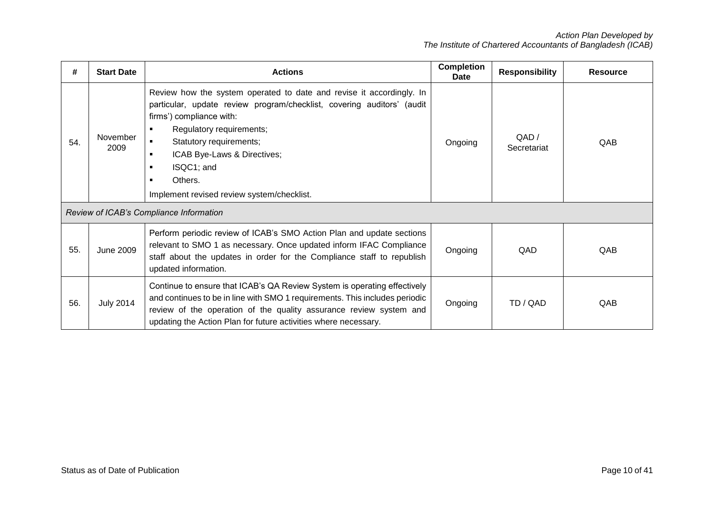| #   | <b>Start Date</b> | <b>Actions</b>                                                                                                                                                                                                                                                                                                                                                        | <b>Completion</b><br>Date | <b>Responsibility</b> | <b>Resource</b> |
|-----|-------------------|-----------------------------------------------------------------------------------------------------------------------------------------------------------------------------------------------------------------------------------------------------------------------------------------------------------------------------------------------------------------------|---------------------------|-----------------------|-----------------|
| 54. | November<br>2009  | Review how the system operated to date and revise it accordingly. In<br>particular, update review program/checklist, covering auditors' (audit<br>firms') compliance with:<br>Regulatory requirements;<br>п.<br>Statutory requirements;<br>$\blacksquare$<br>ICAB Bye-Laws & Directives;<br>п.<br>ISQC1; and<br>Others.<br>Implement revised review system/checklist. | Ongoing                   | QAD/<br>Secretariat   | QAB             |
|     |                   | Review of ICAB's Compliance Information                                                                                                                                                                                                                                                                                                                               |                           |                       |                 |
| 55. | <b>June 2009</b>  | Perform periodic review of ICAB's SMO Action Plan and update sections<br>relevant to SMO 1 as necessary. Once updated inform IFAC Compliance<br>staff about the updates in order for the Compliance staff to republish<br>updated information.                                                                                                                        | Ongoing                   | QAD                   | QAB             |
| 56. | <b>July 2014</b>  | Continue to ensure that ICAB's QA Review System is operating effectively<br>and continues to be in line with SMO 1 requirements. This includes periodic<br>review of the operation of the quality assurance review system and<br>updating the Action Plan for future activities where necessary.                                                                      | Ongoing                   | TD / QAD              | QAB             |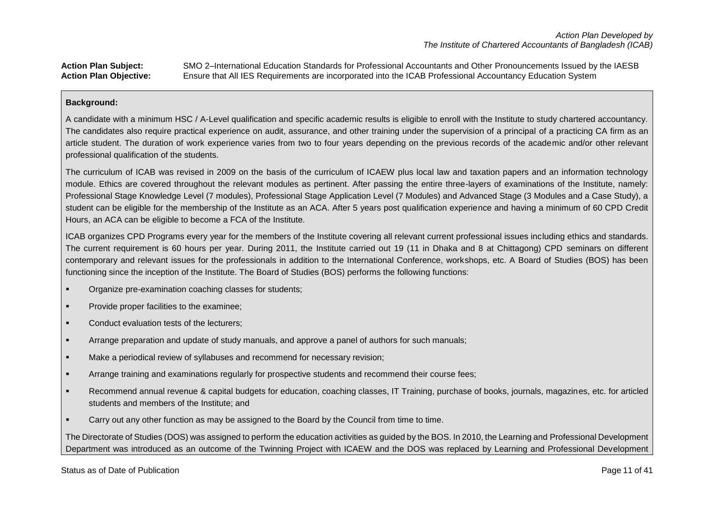## **Action Plan Subject:** SMO 2–International Education Standards for Professional Accountants and Other Pronouncements Issued by the IAESB **Action Plan Objective:** Ensure that All IES Requirements are incorporated into the ICAB Professional Accountancy Education System

## **Background:**

A candidate with a minimum HSC / A-Level qualification and specific academic results is eligible to enroll with the Institute to study chartered accountancy. The candidates also require practical experience on audit, assurance, and other training under the supervision of a principal of a practicing CA firm as an article student. The duration of work experience varies from two to four years depending on the previous records of the academic and/or other relevant professional qualification of the students.

The curriculum of ICAB was revised in 2009 on the basis of the curriculum of ICAEW plus local law and taxation papers and an information technology module. Ethics are covered throughout the relevant modules as pertinent. After passing the entire three-layers of examinations of the Institute, namely: Professional Stage Knowledge Level (7 modules), Professional Stage Application Level (7 Modules) and Advanced Stage (3 Modules and a Case Study), a student can be eligible for the membership of the Institute as an ACA. After 5 years post qualification experience and having a minimum of 60 CPD Credit Hours, an ACA can be eligible to become a FCA of the Institute.

ICAB organizes CPD Programs every year for the members of the Institute covering all relevant current professional issues including ethics and standards. The current requirement is 60 hours per year. During 2011, the Institute carried out 19 (11 in Dhaka and 8 at Chittagong) CPD seminars on different contemporary and relevant issues for the professionals in addition to the International Conference, workshops, etc. A Board of Studies (BOS) has been functioning since the inception of the Institute. The Board of Studies (BOS) performs the following functions:

- **Organize pre-examination coaching classes for students;**
- **•** Provide proper facilities to the examinee;
- **EXECONDUCT EVALUATION TESTS OF The Lecturers:**
- Arrange preparation and update of study manuals, and approve a panel of authors for such manuals;
- Make a periodical review of syllabuses and recommend for necessary revision;
- **EXECT** Arrange training and examinations regularly for prospective students and recommend their course fees;
- Recommend annual revenue & capital budgets for education, coaching classes, IT Training, purchase of books, journals, magazines, etc. for articled students and members of the Institute; and
- Carry out any other function as may be assigned to the Board by the Council from time to time.

The Directorate of Studies (DOS) was assigned to perform the education activities as guided by the BOS. In 2010, the Learning and Professional Development Department was introduced as an outcome of the Twinning Project with ICAEW and the DOS was replaced by Learning and Professional Development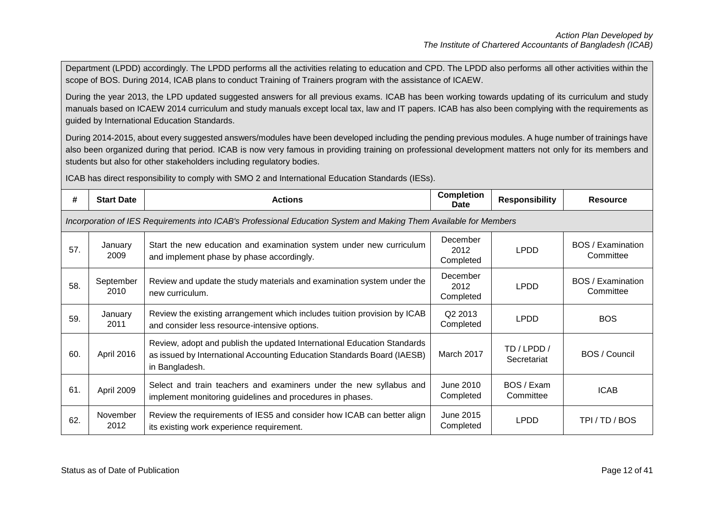Department (LPDD) accordingly. The LPDD performs all the activities relating to education and CPD. The LPDD also performs all other activities within the scope of BOS. During 2014, ICAB plans to conduct Training of Trainers program with the assistance of ICAEW.

During the year 2013, the LPD updated suggested answers for all previous exams. ICAB has been working towards updating of its curriculum and study manuals based on ICAEW 2014 curriculum and study manuals except local tax, law and IT papers. ICAB has also been complying with the requirements as guided by International Education Standards.

During 2014-2015, about every suggested answers/modules have been developed including the pending previous modules. A huge number of trainings have also been organized during that period. ICAB is now very famous in providing training on professional development matters not only for its members and students but also for other stakeholders including regulatory bodies.

ICAB has direct responsibility to comply with SMO 2 and International Education Standards (IESs)*.*

| #   | <b>Start Date</b> | <b>Actions</b>                                                                                                                                                       | <b>Completion</b><br>Date     | <b>Responsibility</b>   | <b>Resource</b>                       |
|-----|-------------------|----------------------------------------------------------------------------------------------------------------------------------------------------------------------|-------------------------------|-------------------------|---------------------------------------|
|     |                   | Incorporation of IES Requirements into ICAB's Professional Education System and Making Them Available for Members                                                    |                               |                         |                                       |
| 57. | January<br>2009   | Start the new education and examination system under new curriculum<br>and implement phase by phase accordingly.                                                     | December<br>2012<br>Completed | <b>LPDD</b>             | BOS / Examination<br>Committee        |
| 58. | September<br>2010 | Review and update the study materials and examination system under the<br>new curriculum.                                                                            | December<br>2012<br>Completed | <b>LPDD</b>             | <b>BOS / Examination</b><br>Committee |
| 59. | January<br>2011   | Review the existing arrangement which includes tuition provision by ICAB<br>and consider less resource-intensive options.                                            | Q2 2013<br>Completed          | <b>LPDD</b>             | <b>BOS</b>                            |
| 60. | April 2016        | Review, adopt and publish the updated International Education Standards<br>as issued by International Accounting Education Standards Board (IAESB)<br>in Bangladesh. | March 2017                    | TD/LPDD/<br>Secretariat | <b>BOS / Council</b>                  |
| 61. | April 2009        | Select and train teachers and examiners under the new syllabus and<br>implement monitoring guidelines and procedures in phases.                                      | June 2010<br>Completed        | BOS / Exam<br>Committee | <b>ICAB</b>                           |
| 62. | November<br>2012  | Review the requirements of IES5 and consider how ICAB can better align<br>its existing work experience requirement.                                                  | June 2015<br>Completed        | <b>LPDD</b>             | TPI/TD/BOS                            |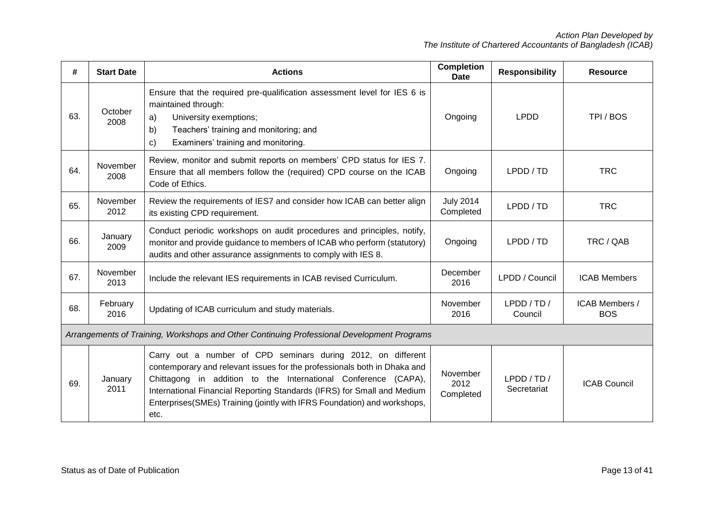| #   | <b>Start Date</b> | <b>Actions</b>                                                                                                                                                                                                                                                                                                                                                            | <b>Completion</b><br><b>Date</b> | <b>Responsibility</b>   | <b>Resource</b>              |
|-----|-------------------|---------------------------------------------------------------------------------------------------------------------------------------------------------------------------------------------------------------------------------------------------------------------------------------------------------------------------------------------------------------------------|----------------------------------|-------------------------|------------------------------|
| 63. | October<br>2008   | Ensure that the required pre-qualification assessment level for IES 6 is<br>maintained through:<br>University exemptions;<br>a)<br>Teachers' training and monitoring; and<br>b)<br>Examiners' training and monitoring.<br>C)                                                                                                                                              | Ongoing                          | <b>LPDD</b>             | TPI/BOS                      |
| 64. | November<br>2008  | Review, monitor and submit reports on members' CPD status for IES 7.<br>Ensure that all members follow the (required) CPD course on the ICAB<br>Code of Ethics.                                                                                                                                                                                                           | Ongoing                          | LPDD/TD                 | <b>TRC</b>                   |
| 65. | November<br>2012  | Review the requirements of IES7 and consider how ICAB can better align<br>its existing CPD requirement.                                                                                                                                                                                                                                                                   | <b>July 2014</b><br>Completed    | LPDD/TD                 | <b>TRC</b>                   |
| 66. | January<br>2009   | Conduct periodic workshops on audit procedures and principles, notify,<br>monitor and provide guidance to members of ICAB who perform (statutory)<br>audits and other assurance assignments to comply with IES 8.                                                                                                                                                         | Ongoing                          | LPDD / TD               | TRC / QAB                    |
| 67. | November<br>2013  | Include the relevant IES requirements in ICAB revised Curriculum.                                                                                                                                                                                                                                                                                                         | December<br>2016                 | LPDD / Council          | <b>ICAB Members</b>          |
| 68. | February<br>2016  | Updating of ICAB curriculum and study materials.                                                                                                                                                                                                                                                                                                                          | November<br>2016                 | LPDD/TD/<br>Council     | ICAB Members /<br><b>BOS</b> |
|     |                   | Arrangements of Training, Workshops and Other Continuing Professional Development Programs                                                                                                                                                                                                                                                                                |                                  |                         |                              |
| 69. | January<br>2011   | Carry out a number of CPD seminars during 2012, on different<br>contemporary and relevant issues for the professionals both in Dhaka and<br>Chittagong in addition to the International Conference (CAPA),<br>International Financial Reporting Standards (IFRS) for Small and Medium<br>Enterprises(SMEs) Training (jointly with IFRS Foundation) and workshops,<br>etc. | November<br>2012<br>Completed    | LPDD/TD/<br>Secretariat | <b>ICAB Council</b>          |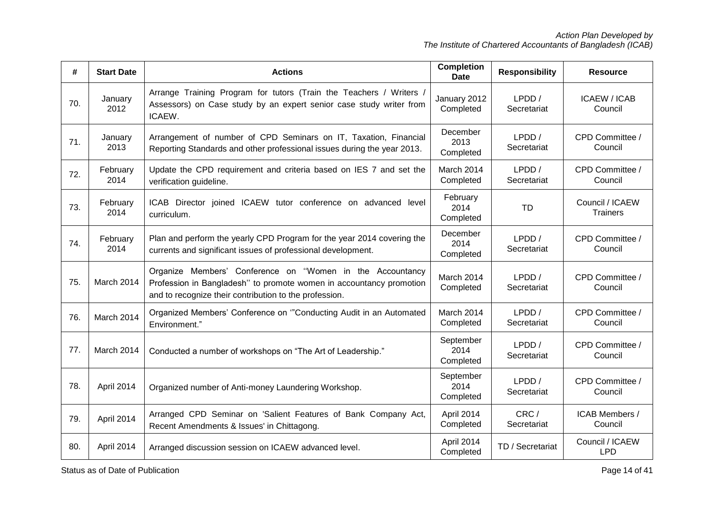| #   | <b>Start Date</b> | <b>Actions</b>                                                                                                                                                                             | <b>Completion</b><br><b>Date</b> | <b>Responsibility</b>    | <b>Resource</b>                    |
|-----|-------------------|--------------------------------------------------------------------------------------------------------------------------------------------------------------------------------------------|----------------------------------|--------------------------|------------------------------------|
| 70. | January<br>2012   | Arrange Training Program for tutors (Train the Teachers / Writers /<br>Assessors) on Case study by an expert senior case study writer from<br>ICAEW.                                       | January 2012<br>Completed        | LPDD/<br>Secretariat     | <b>ICAEW / ICAB</b><br>Council     |
| 71. | January<br>2013   | Arrangement of number of CPD Seminars on IT, Taxation, Financial<br>Reporting Standards and other professional issues during the year 2013.                                                | December<br>2013<br>Completed    | LPDD/<br>Secretariat     | CPD Committee /<br>Council         |
| 72. | February<br>2014  | Update the CPD requirement and criteria based on IES 7 and set the<br>verification guideline.                                                                                              | March 2014<br>Completed          | LPDD/<br>Secretariat     | CPD Committee /<br>Council         |
| 73. | February<br>2014  | ICAB Director joined ICAEW tutor conference on advanced level<br>curriculum.                                                                                                               | February<br>2014<br>Completed    | <b>TD</b>                | Council / ICAEW<br><b>Trainers</b> |
| 74. | February<br>2014  | Plan and perform the yearly CPD Program for the year 2014 covering the<br>currents and significant issues of professional development.                                                     | December<br>2014<br>Completed    | $L$ PDD /<br>Secretariat | CPD Committee /<br>Council         |
| 75. | March 2014        | Organize Members' Conference on "Women in the Accountancy<br>Profession in Bangladesh" to promote women in accountancy promotion<br>and to recognize their contribution to the profession. | March 2014<br>Completed          | LPDD /<br>Secretariat    | CPD Committee /<br>Council         |
| 76. | March 2014        | Organized Members' Conference on "Conducting Audit in an Automated<br>Environment."                                                                                                        | March 2014<br>Completed          | LPDD/<br>Secretariat     | CPD Committee /<br>Council         |
| 77. | March 2014        | Conducted a number of workshops on "The Art of Leadership."                                                                                                                                | September<br>2014<br>Completed   | LPDD /<br>Secretariat    | CPD Committee /<br>Council         |
| 78. | April 2014        | Organized number of Anti-money Laundering Workshop.                                                                                                                                        | September<br>2014<br>Completed   | LPDD/<br>Secretariat     | CPD Committee /<br>Council         |
| 79. | April 2014        | Arranged CPD Seminar on 'Salient Features of Bank Company Act,<br>Recent Amendments & Issues' in Chittagong.                                                                               | April 2014<br>Completed          | CRC/<br>Secretariat      | ICAB Members /<br>Council          |
| 80. | April 2014        | Arranged discussion session on ICAEW advanced level.                                                                                                                                       | April 2014<br>Completed          | TD / Secretariat         | Council / ICAEW<br><b>LPD</b>      |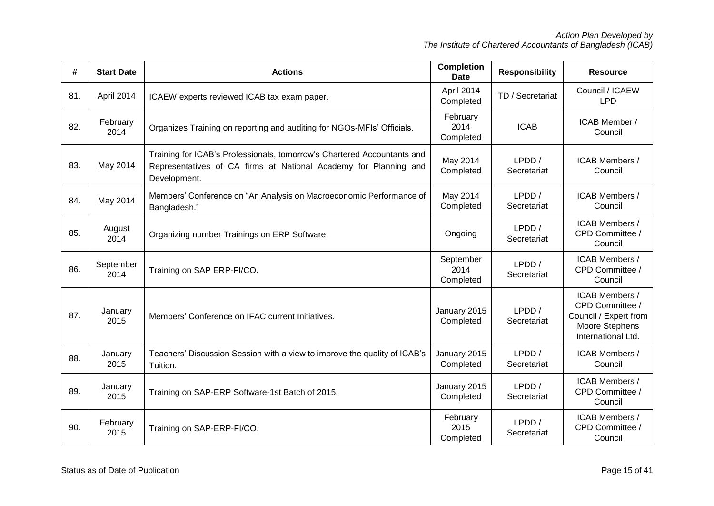| #   | <b>Start Date</b> | <b>Actions</b>                                                                                                                                              | <b>Completion</b><br><b>Date</b> | <b>Responsibility</b>      | <b>Resource</b>                                                                                    |
|-----|-------------------|-------------------------------------------------------------------------------------------------------------------------------------------------------------|----------------------------------|----------------------------|----------------------------------------------------------------------------------------------------|
| 81. | April 2014        | ICAEW experts reviewed ICAB tax exam paper.                                                                                                                 | April 2014<br>Completed          | TD / Secretariat           | Council / ICAEW<br><b>LPD</b>                                                                      |
| 82. | February<br>2014  | Organizes Training on reporting and auditing for NGOs-MFIs' Officials.                                                                                      | February<br>2014<br>Completed    | <b>ICAB</b>                | ICAB Member /<br>Council                                                                           |
| 83. | May 2014          | Training for ICAB's Professionals, tomorrow's Chartered Accountants and<br>Representatives of CA firms at National Academy for Planning and<br>Development. | May 2014<br>Completed            | LPDD /<br>Secretariat      | <b>ICAB Members /</b><br>Council                                                                   |
| 84. | May 2014          | Members' Conference on "An Analysis on Macroeconomic Performance of<br>Bangladesh."                                                                         | May 2014<br>Completed            | LPDD /<br>Secretariat      | <b>ICAB Members /</b><br>Council                                                                   |
| 85. | August<br>2014    | Organizing number Trainings on ERP Software.                                                                                                                | Ongoing                          | LPDD/<br>Secretariat       | ICAB Members /<br>CPD Committee /<br>Council                                                       |
| 86. | September<br>2014 | Training on SAP ERP-FI/CO.                                                                                                                                  | September<br>2014<br>Completed   | LPDD/<br>Secretariat       | ICAB Members /<br>CPD Committee /<br>Council                                                       |
| 87. | January<br>2015   | Members' Conference on IFAC current Initiatives.                                                                                                            | January 2015<br>Completed        | $L$ PDD $/$<br>Secretariat | ICAB Members /<br>CPD Committee /<br>Council / Expert from<br>Moore Stephens<br>International Ltd. |
| 88. | January<br>2015   | Teachers' Discussion Session with a view to improve the quality of ICAB's<br>Tuition.                                                                       | January 2015<br>Completed        | LPDD /<br>Secretariat      | ICAB Members /<br>Council                                                                          |
| 89. | January<br>2015   | Training on SAP-ERP Software-1st Batch of 2015.                                                                                                             | January 2015<br>Completed        | LPDD /<br>Secretariat      | ICAB Members /<br>CPD Committee /<br>Council                                                       |
| 90. | February<br>2015  | Training on SAP-ERP-FI/CO.                                                                                                                                  | February<br>2015<br>Completed    | LPDD /<br>Secretariat      | ICAB Members /<br>CPD Committee /<br>Council                                                       |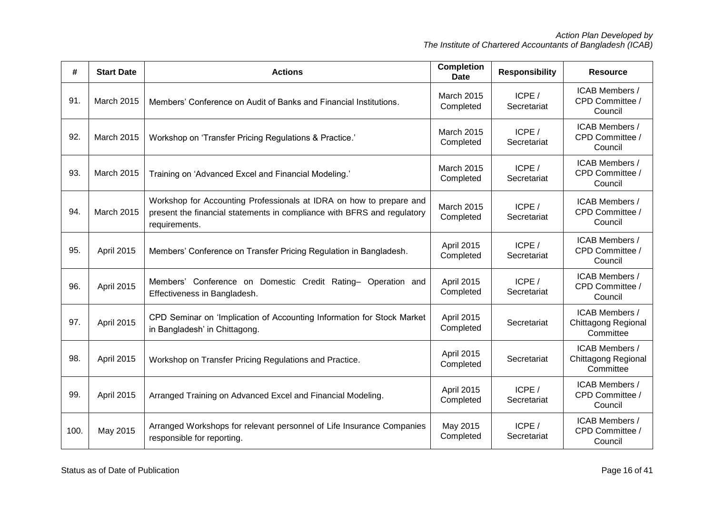| #    | <b>Start Date</b> | <b>Actions</b>                                                                                                                                                  | <b>Completion</b><br><b>Date</b> | <b>Responsibility</b> | <b>Resource</b>                                           |
|------|-------------------|-----------------------------------------------------------------------------------------------------------------------------------------------------------------|----------------------------------|-----------------------|-----------------------------------------------------------|
| 91.  | March 2015        | Members' Conference on Audit of Banks and Financial Institutions.                                                                                               | <b>March 2015</b><br>Completed   | ICPE/<br>Secretariat  | ICAB Members /<br>CPD Committee /<br>Council              |
| 92.  | March 2015        | Workshop on 'Transfer Pricing Regulations & Practice.'                                                                                                          | March 2015<br>Completed          | ICPE/<br>Secretariat  | ICAB Members /<br>CPD Committee /<br>Council              |
| 93.  | <b>March 2015</b> | Training on 'Advanced Excel and Financial Modeling.'                                                                                                            | March 2015<br>Completed          | ICPE/<br>Secretariat  | ICAB Members /<br>CPD Committee /<br>Council              |
| 94.  | <b>March 2015</b> | Workshop for Accounting Professionals at IDRA on how to prepare and<br>present the financial statements in compliance with BFRS and regulatory<br>requirements. | March 2015<br>Completed          | ICPE/<br>Secretariat  | <b>ICAB Members /</b><br>CPD Committee /<br>Council       |
| 95.  | April 2015        | Members' Conference on Transfer Pricing Regulation in Bangladesh.                                                                                               | April 2015<br>Completed          | ICPE/<br>Secretariat  | ICAB Members /<br>CPD Committee /<br>Council              |
| 96.  | April 2015        | Members' Conference on Domestic Credit Rating- Operation and<br>Effectiveness in Bangladesh.                                                                    | April 2015<br>Completed          | ICPE/<br>Secretariat  | ICAB Members /<br>CPD Committee /<br>Council              |
| 97.  | April 2015        | CPD Seminar on 'Implication of Accounting Information for Stock Market<br>in Bangladesh' in Chittagong.                                                         | April 2015<br>Completed          | Secretariat           | ICAB Members /<br><b>Chittagong Regional</b><br>Committee |
| 98.  | April 2015        | Workshop on Transfer Pricing Regulations and Practice.                                                                                                          | April 2015<br>Completed          | Secretariat           | ICAB Members /<br><b>Chittagong Regional</b><br>Committee |
| 99.  | April 2015        | Arranged Training on Advanced Excel and Financial Modeling.                                                                                                     | April 2015<br>Completed          | ICPE /<br>Secretariat | ICAB Members /<br>CPD Committee /<br>Council              |
| 100. | May 2015          | Arranged Workshops for relevant personnel of Life Insurance Companies<br>responsible for reporting.                                                             | May 2015<br>Completed            | ICPE/<br>Secretariat  | ICAB Members /<br>CPD Committee /<br>Council              |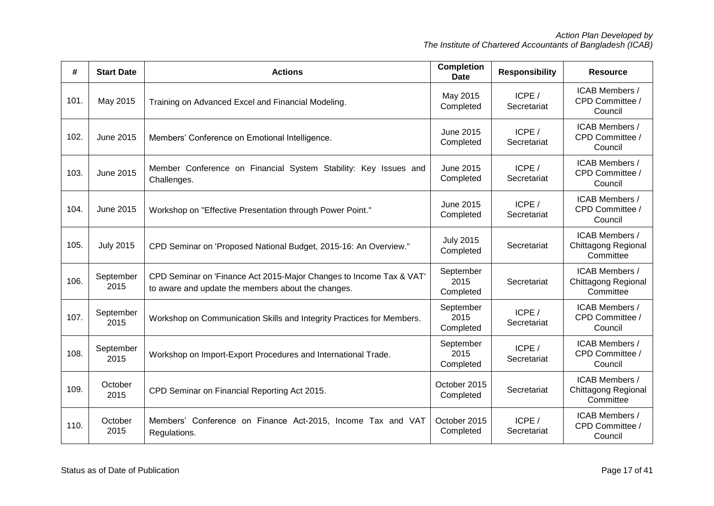| #    | <b>Start Date</b> | <b>Actions</b>                                                                                                            | <b>Completion</b><br><b>Date</b> | <b>Responsibility</b> | <b>Resource</b>                                           |
|------|-------------------|---------------------------------------------------------------------------------------------------------------------------|----------------------------------|-----------------------|-----------------------------------------------------------|
| 101. | May 2015          | Training on Advanced Excel and Financial Modeling.                                                                        | May 2015<br>Completed            | ICPE/<br>Secretariat  | ICAB Members /<br>CPD Committee /<br>Council              |
| 102. | <b>June 2015</b>  | Members' Conference on Emotional Intelligence.                                                                            | June 2015<br>Completed           | ICPE/<br>Secretariat  | ICAB Members /<br>CPD Committee /<br>Council              |
| 103. | June 2015         | Member Conference on Financial System Stability: Key Issues and<br>Challenges.                                            | <b>June 2015</b><br>Completed    | ICPE /<br>Secretariat | ICAB Members /<br>CPD Committee /<br>Council              |
| 104. | June 2015         | Workshop on "Effective Presentation through Power Point."                                                                 | <b>June 2015</b><br>Completed    | ICPE /<br>Secretariat | ICAB Members /<br>CPD Committee /<br>Council              |
| 105. | <b>July 2015</b>  | CPD Seminar on 'Proposed National Budget, 2015-16: An Overview."                                                          | <b>July 2015</b><br>Completed    | Secretariat           | ICAB Members /<br><b>Chittagong Regional</b><br>Committee |
| 106. | September<br>2015 | CPD Seminar on 'Finance Act 2015-Major Changes to Income Tax & VAT'<br>to aware and update the members about the changes. | September<br>2015<br>Completed   | Secretariat           | ICAB Members /<br><b>Chittagong Regional</b><br>Committee |
| 107. | September<br>2015 | Workshop on Communication Skills and Integrity Practices for Members.                                                     | September<br>2015<br>Completed   | ICPE/<br>Secretariat  | ICAB Members /<br>CPD Committee /<br>Council              |
| 108. | September<br>2015 | Workshop on Import-Export Procedures and International Trade.                                                             | September<br>2015<br>Completed   | ICPE/<br>Secretariat  | ICAB Members /<br>CPD Committee /<br>Council              |
| 109. | October<br>2015   | CPD Seminar on Financial Reporting Act 2015.                                                                              | October 2015<br>Completed        | Secretariat           | ICAB Members /<br><b>Chittagong Regional</b><br>Committee |
| 110. | October<br>2015   | Members' Conference on Finance Act-2015, Income Tax and VAT<br>Regulations.                                               | October 2015<br>Completed        | ICPE/<br>Secretariat  | ICAB Members /<br>CPD Committee /<br>Council              |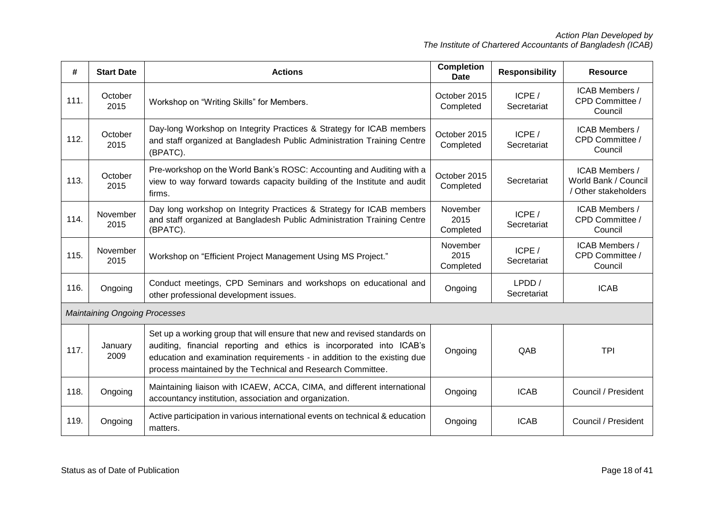| #    | <b>Start Date</b>                    | <b>Actions</b>                                                                                                                                                                                                                                                                               | <b>Completion</b><br><b>Date</b> | <b>Responsibility</b> | <b>Resource</b>                                                |
|------|--------------------------------------|----------------------------------------------------------------------------------------------------------------------------------------------------------------------------------------------------------------------------------------------------------------------------------------------|----------------------------------|-----------------------|----------------------------------------------------------------|
| 111. | October<br>2015                      | Workshop on "Writing Skills" for Members.                                                                                                                                                                                                                                                    | October 2015<br>Completed        | ICPE/<br>Secretariat  | ICAB Members /<br>CPD Committee /<br>Council                   |
| 112. | October<br>2015                      | Day-long Workshop on Integrity Practices & Strategy for ICAB members<br>and staff organized at Bangladesh Public Administration Training Centre<br>(BPATC).                                                                                                                                  | October 2015<br>Completed        | ICPE/<br>Secretariat  | ICAB Members /<br>CPD Committee /<br>Council                   |
| 113. | October<br>2015                      | Pre-workshop on the World Bank's ROSC: Accounting and Auditing with a<br>view to way forward towards capacity building of the Institute and audit<br>firms.                                                                                                                                  | October 2015<br>Completed        | Secretariat           | ICAB Members /<br>World Bank / Council<br>/ Other stakeholders |
| 114. | November<br>2015                     | Day long workshop on Integrity Practices & Strategy for ICAB members<br>and staff organized at Bangladesh Public Administration Training Centre<br>(BPATC).                                                                                                                                  | November<br>2015<br>Completed    | ICPE /<br>Secretariat | ICAB Members /<br>CPD Committee /<br>Council                   |
| 115. | November<br>2015                     | Workshop on "Efficient Project Management Using MS Project."                                                                                                                                                                                                                                 | November<br>2015<br>Completed    | ICPE /<br>Secretariat | ICAB Members /<br>CPD Committee /<br>Council                   |
| 116. | Ongoing                              | Conduct meetings, CPD Seminars and workshops on educational and<br>other professional development issues.                                                                                                                                                                                    | Ongoing                          | LPDD/<br>Secretariat  | <b>ICAB</b>                                                    |
|      | <b>Maintaining Ongoing Processes</b> |                                                                                                                                                                                                                                                                                              |                                  |                       |                                                                |
| 117. | January<br>2009                      | Set up a working group that will ensure that new and revised standards on<br>auditing, financial reporting and ethics is incorporated into ICAB's<br>education and examination requirements - in addition to the existing due<br>process maintained by the Technical and Research Committee. | Ongoing                          | QAB                   | <b>TPI</b>                                                     |
| 118. | Ongoing                              | Maintaining liaison with ICAEW, ACCA, CIMA, and different international<br>accountancy institution, association and organization.                                                                                                                                                            | Ongoing                          | <b>ICAB</b>           | Council / President                                            |
| 119. | Ongoing                              | Active participation in various international events on technical & education<br>matters.                                                                                                                                                                                                    | Ongoing                          | <b>ICAB</b>           | Council / President                                            |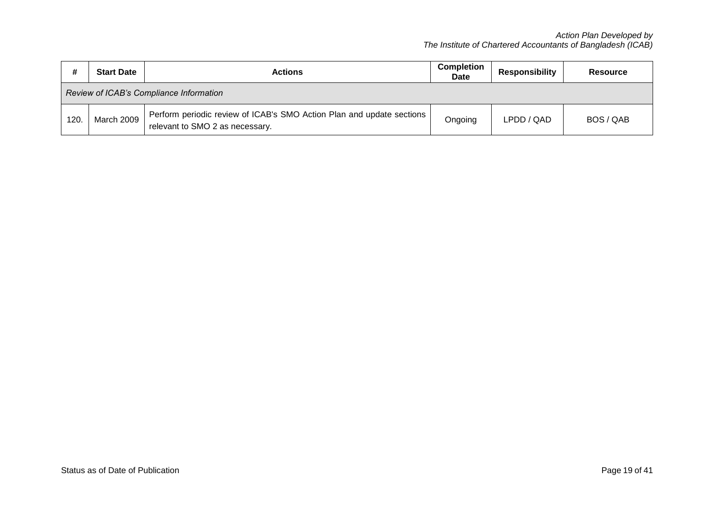|     | <b>Start Date</b>                       | <b>Actions</b>                                                                                           | Completion<br><b>Date</b> | Responsibility | <b>Resource</b> |  |
|-----|-----------------------------------------|----------------------------------------------------------------------------------------------------------|---------------------------|----------------|-----------------|--|
|     | Review of ICAB's Compliance Information |                                                                                                          |                           |                |                 |  |
| 120 | March 2009                              | Perform periodic review of ICAB's SMO Action Plan and update sections<br>relevant to SMO 2 as necessary. | Ongoing                   | LPDD / QAD     | BOS / QAB       |  |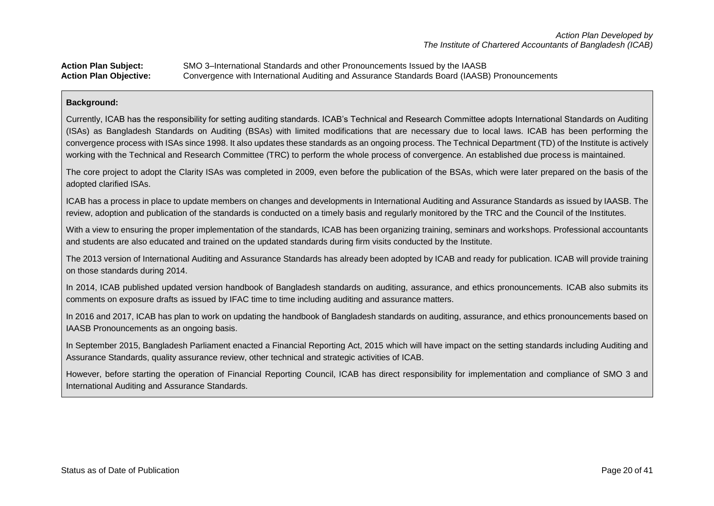## **Action Plan Subject:** SMO 3–International Standards and other Pronouncements Issued by the IAASB **Action Plan Objective:** Convergence with International Auditing and Assurance Standards Board (IAASB) Pronouncements

## **Background:**

Currently, ICAB has the responsibility for setting auditing standards. ICAB's Technical and Research Committee adopts International Standards on Auditing (ISAs) as Bangladesh Standards on Auditing (BSAs) with limited modifications that are necessary due to local laws. ICAB has been performing the convergence process with ISAs since 1998. It also updates these standards as an ongoing process. The Technical Department (TD) of the Institute is actively working with the Technical and Research Committee (TRC) to perform the whole process of convergence. An established due process is maintained.

The core project to adopt the Clarity ISAs was completed in 2009, even before the publication of the BSAs, which were later prepared on the basis of the adopted clarified ISAs.

ICAB has a process in place to update members on changes and developments in International Auditing and Assurance Standards as issued by IAASB. The review, adoption and publication of the standards is conducted on a timely basis and regularly monitored by the TRC and the Council of the Institutes.

With a view to ensuring the proper implementation of the standards, ICAB has been organizing training, seminars and workshops. Professional accountants and students are also educated and trained on the updated standards during firm visits conducted by the Institute.

The 2013 version of International Auditing and Assurance Standards has already been adopted by ICAB and ready for publication. ICAB will provide training on those standards during 2014.

In 2014, ICAB published updated version handbook of Bangladesh standards on auditing, assurance, and ethics pronouncements. ICAB also submits its comments on exposure drafts as issued by IFAC time to time including auditing and assurance matters.

In 2016 and 2017, ICAB has plan to work on updating the handbook of Bangladesh standards on auditing, assurance, and ethics pronouncements based on IAASB Pronouncements as an ongoing basis.

In September 2015, Bangladesh Parliament enacted a Financial Reporting Act, 2015 which will have impact on the setting standards including Auditing and Assurance Standards, quality assurance review, other technical and strategic activities of ICAB.

However, before starting the operation of Financial Reporting Council, ICAB has direct responsibility for implementation and compliance of SMO 3 and International Auditing and Assurance Standards.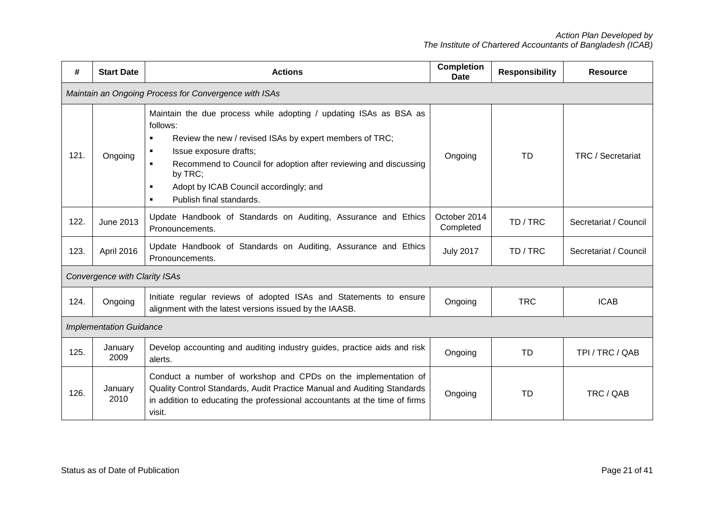| #    | <b>Start Date</b>                                     | <b>Actions</b>                                                                                                                                                                                                                                                                                                                              | <b>Completion</b><br><b>Date</b> | <b>Responsibility</b> | <b>Resource</b>       |  |  |  |
|------|-------------------------------------------------------|---------------------------------------------------------------------------------------------------------------------------------------------------------------------------------------------------------------------------------------------------------------------------------------------------------------------------------------------|----------------------------------|-----------------------|-----------------------|--|--|--|
|      | Maintain an Ongoing Process for Convergence with ISAs |                                                                                                                                                                                                                                                                                                                                             |                                  |                       |                       |  |  |  |
| 121. | Ongoing                                               | Maintain the due process while adopting / updating ISAs as BSA as<br>follows:<br>Review the new / revised ISAs by expert members of TRC;<br>п<br>Issue exposure drafts;<br>٠<br>Recommend to Council for adoption after reviewing and discussing<br>by TRC;<br>Adopt by ICAB Council accordingly; and<br>п<br>Publish final standards.<br>٠ | Ongoing                          | <b>TD</b>             | TRC / Secretariat     |  |  |  |
| 122. | June 2013                                             | Update Handbook of Standards on Auditing, Assurance and Ethics<br>Pronouncements.                                                                                                                                                                                                                                                           | October 2014<br>Completed        | TD/TRC                | Secretariat / Council |  |  |  |
| 123. | April 2016                                            | Update Handbook of Standards on Auditing, Assurance and Ethics<br>Pronouncements.                                                                                                                                                                                                                                                           | <b>July 2017</b>                 | TD/TRC                | Secretariat / Council |  |  |  |
|      | Convergence with Clarity ISAs                         |                                                                                                                                                                                                                                                                                                                                             |                                  |                       |                       |  |  |  |
| 124. | Ongoing                                               | Initiate regular reviews of adopted ISAs and Statements to ensure<br>alignment with the latest versions issued by the IAASB.                                                                                                                                                                                                                | Ongoing                          | <b>TRC</b>            | <b>ICAB</b>           |  |  |  |
|      | <b>Implementation Guidance</b>                        |                                                                                                                                                                                                                                                                                                                                             |                                  |                       |                       |  |  |  |
| 125. | January<br>2009                                       | Develop accounting and auditing industry guides, practice aids and risk<br>alerts.                                                                                                                                                                                                                                                          | Ongoing                          | <b>TD</b>             | TPI / TRC / QAB       |  |  |  |
| 126. | January<br>2010                                       | Conduct a number of workshop and CPDs on the implementation of<br>Quality Control Standards, Audit Practice Manual and Auditing Standards<br>in addition to educating the professional accountants at the time of firms<br>visit.                                                                                                           | Ongoing                          | <b>TD</b>             | TRC / QAB             |  |  |  |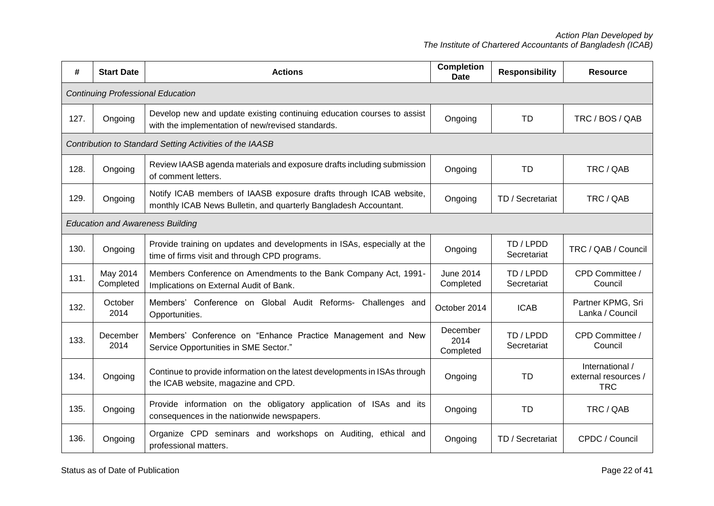| #    | <b>Start Date</b>                        | <b>Actions</b>                                                                                                                         | <b>Completion</b><br><b>Date</b> | <b>Responsibility</b>    | <b>Resource</b>                                       |  |  |  |
|------|------------------------------------------|----------------------------------------------------------------------------------------------------------------------------------------|----------------------------------|--------------------------|-------------------------------------------------------|--|--|--|
|      | <b>Continuing Professional Education</b> |                                                                                                                                        |                                  |                          |                                                       |  |  |  |
| 127. | Ongoing                                  | Develop new and update existing continuing education courses to assist<br>with the implementation of new/revised standards.            | Ongoing                          | <b>TD</b>                | TRC / BOS / QAB                                       |  |  |  |
|      |                                          | Contribution to Standard Setting Activities of the IAASB                                                                               |                                  |                          |                                                       |  |  |  |
| 128. | Ongoing                                  | Review IAASB agenda materials and exposure drafts including submission<br>of comment letters.                                          | Ongoing                          | <b>TD</b>                | TRC / QAB                                             |  |  |  |
| 129. | Ongoing                                  | Notify ICAB members of IAASB exposure drafts through ICAB website,<br>monthly ICAB News Bulletin, and quarterly Bangladesh Accountant. | Ongoing                          | TD / Secretariat         | TRC / QAB                                             |  |  |  |
|      |                                          | <b>Education and Awareness Building</b>                                                                                                |                                  |                          |                                                       |  |  |  |
| 130. | Ongoing                                  | Provide training on updates and developments in ISAs, especially at the<br>time of firms visit and through CPD programs.               | Ongoing                          | TD / LPDD<br>Secretariat | TRC / QAB / Council                                   |  |  |  |
| 131. | May 2014<br>Completed                    | Members Conference on Amendments to the Bank Company Act, 1991-<br>Implications on External Audit of Bank.                             | <b>June 2014</b><br>Completed    | TD / LPDD<br>Secretariat | CPD Committee /<br>Council                            |  |  |  |
| 132. | October<br>2014                          | Members' Conference on Global Audit Reforms- Challenges and<br>Opportunities.                                                          | October 2014                     | <b>ICAB</b>              | Partner KPMG, Sri<br>Lanka / Council                  |  |  |  |
| 133. | December<br>2014                         | Members' Conference on "Enhance Practice Management and New<br>Service Opportunities in SME Sector."                                   | December<br>2014<br>Completed    | TD/LPDD<br>Secretariat   | CPD Committee /<br>Council                            |  |  |  |
| 134. | Ongoing                                  | Continue to provide information on the latest developments in ISAs through<br>the ICAB website, magazine and CPD.                      | Ongoing                          | <b>TD</b>                | International /<br>external resources /<br><b>TRC</b> |  |  |  |
| 135. | Ongoing                                  | Provide information on the obligatory application of ISAs and its<br>consequences in the nationwide newspapers.                        | Ongoing                          | <b>TD</b>                | TRC / QAB                                             |  |  |  |
| 136. | Ongoing                                  | Organize CPD seminars and workshops on Auditing, ethical and<br>professional matters.                                                  | Ongoing                          | TD / Secretariat         | CPDC / Council                                        |  |  |  |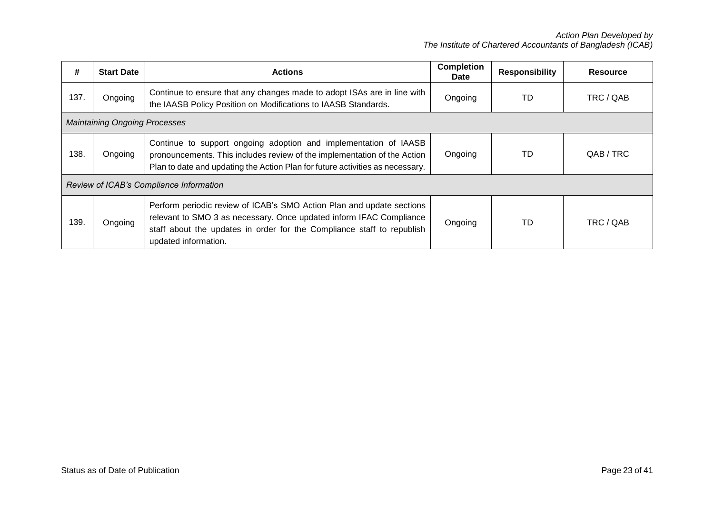| #                                       | <b>Start Date</b>                    | <b>Actions</b>                                                                                                                                                                                                                                 | <b>Completion</b><br><b>Date</b> | <b>Responsibility</b> | <b>Resource</b> |  |  |
|-----------------------------------------|--------------------------------------|------------------------------------------------------------------------------------------------------------------------------------------------------------------------------------------------------------------------------------------------|----------------------------------|-----------------------|-----------------|--|--|
| 137.                                    | Ongoing                              | Continue to ensure that any changes made to adopt ISAs are in line with<br>the IAASB Policy Position on Modifications to IAASB Standards.                                                                                                      | Ongoing                          | TD                    | TRC / QAB       |  |  |
|                                         | <b>Maintaining Ongoing Processes</b> |                                                                                                                                                                                                                                                |                                  |                       |                 |  |  |
| 138.                                    | Ongoing                              | Continue to support ongoing adoption and implementation of IAASB<br>pronouncements. This includes review of the implementation of the Action<br>Plan to date and updating the Action Plan for future activities as necessary.                  | Ongoing                          | TD                    | QAB / TRC       |  |  |
| Review of ICAB's Compliance Information |                                      |                                                                                                                                                                                                                                                |                                  |                       |                 |  |  |
| 139.                                    | Ongoing                              | Perform periodic review of ICAB's SMO Action Plan and update sections<br>relevant to SMO 3 as necessary. Once updated inform IFAC Compliance<br>staff about the updates in order for the Compliance staff to republish<br>updated information. | Ongoing                          | TD                    | TRC / QAB       |  |  |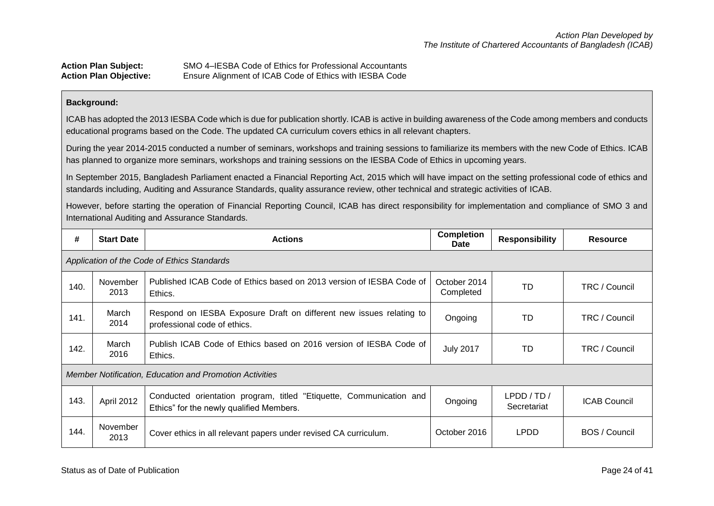| <b>Action Plan Subject:</b>   | SMO 4–IESBA Code of Ethics for Professional Accountants |
|-------------------------------|---------------------------------------------------------|
| <b>Action Plan Objective:</b> | Ensure Alignment of ICAB Code of Ethics with IESBA Code |

## **Background:**

ICAB has adopted the 2013 IESBA Code which is due for publication shortly. ICAB is active in building awareness of the Code among members and conducts educational programs based on the Code. The updated CA curriculum covers ethics in all relevant chapters.

During the year 2014-2015 conducted a number of seminars, workshops and training sessions to familiarize its members with the new Code of Ethics. ICAB has planned to organize more seminars, workshops and training sessions on the IESBA Code of Ethics in upcoming years.

In September 2015, Bangladesh Parliament enacted a Financial Reporting Act, 2015 which will have impact on the setting professional code of ethics and standards including, Auditing and Assurance Standards, quality assurance review, other technical and strategic activities of ICAB.

However, before starting the operation of Financial Reporting Council, ICAB has direct responsibility for implementation and compliance of SMO 3 and International Auditing and Assurance Standards.

| #    | <b>Start Date</b>                           | <b>Actions</b>                                                                                                  | <b>Completion</b><br><b>Date</b> | <b>Responsibility</b>   | <b>Resource</b>      |  |  |  |
|------|---------------------------------------------|-----------------------------------------------------------------------------------------------------------------|----------------------------------|-------------------------|----------------------|--|--|--|
|      | Application of the Code of Ethics Standards |                                                                                                                 |                                  |                         |                      |  |  |  |
| 140. | November<br>2013                            | Published ICAB Code of Ethics based on 2013 version of IESBA Code of<br>Ethics.                                 | October 2014<br>Completed        | TD                      | <b>TRC / Council</b> |  |  |  |
| 141. | March<br>2014                               | Respond on IESBA Exposure Draft on different new issues relating to<br>professional code of ethics.             | Ongoing                          | TD                      | TRC / Council        |  |  |  |
| 142. | March<br>2016                               | Publish ICAB Code of Ethics based on 2016 version of IESBA Code of<br>Ethics.                                   | <b>July 2017</b>                 | TD                      | TRC / Council        |  |  |  |
|      |                                             | <b>Member Notification, Education and Promotion Activities</b>                                                  |                                  |                         |                      |  |  |  |
| 143. | April 2012                                  | Conducted orientation program, titled "Etiquette, Communication and<br>Ethics" for the newly qualified Members. | Ongoing                          | LPDD/TD/<br>Secretariat | <b>ICAB Council</b>  |  |  |  |
| 144. | November<br>2013                            | Cover ethics in all relevant papers under revised CA curriculum.                                                | October 2016                     | <b>LPDD</b>             | <b>BOS / Council</b> |  |  |  |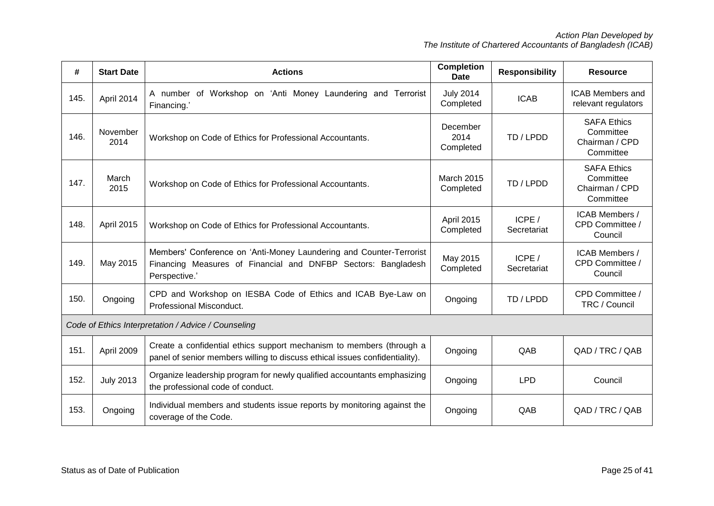| #    | <b>Start Date</b> | <b>Actions</b>                                                                                                                                        | <b>Completion</b><br><b>Date</b> | <b>Responsibility</b> | <b>Resource</b>                                                |
|------|-------------------|-------------------------------------------------------------------------------------------------------------------------------------------------------|----------------------------------|-----------------------|----------------------------------------------------------------|
| 145. | April 2014        | A number of Workshop on 'Anti Money Laundering and Terrorist<br>Financing.'                                                                           | <b>July 2014</b><br>Completed    | <b>ICAB</b>           | <b>ICAB Members and</b><br>relevant regulators                 |
| 146. | November<br>2014  | Workshop on Code of Ethics for Professional Accountants.                                                                                              | December<br>2014<br>Completed    | TD/LPDD               | <b>SAFA Ethics</b><br>Committee<br>Chairman / CPD<br>Committee |
| 147. | March<br>2015     | Workshop on Code of Ethics for Professional Accountants.                                                                                              | March 2015<br>Completed          | TD/LPDD               | <b>SAFA Ethics</b><br>Committee<br>Chairman / CPD<br>Committee |
| 148. | April 2015        | Workshop on Code of Ethics for Professional Accountants.                                                                                              | April 2015<br>Completed          | ICPE/<br>Secretariat  | ICAB Members /<br>CPD Committee /<br>Council                   |
| 149. | May 2015          | Members' Conference on 'Anti-Money Laundering and Counter-Terrorist<br>Financing Measures of Financial and DNFBP Sectors: Bangladesh<br>Perspective.' | May 2015<br>Completed            | ICPE/<br>Secretariat  | <b>ICAB Members /</b><br>CPD Committee /<br>Council            |
| 150. | Ongoing           | CPD and Workshop on IESBA Code of Ethics and ICAB Bye-Law on<br>Professional Misconduct.                                                              | Ongoing                          | TD/LPDD               | CPD Committee /<br>TRC / Council                               |
|      |                   | Code of Ethics Interpretation / Advice / Counseling                                                                                                   |                                  |                       |                                                                |
| 151. | April 2009        | Create a confidential ethics support mechanism to members (through a<br>panel of senior members willing to discuss ethical issues confidentiality).   | Ongoing                          | QAB                   | QAD / TRC / QAB                                                |
| 152. | <b>July 2013</b>  | Organize leadership program for newly qualified accountants emphasizing<br>the professional code of conduct.                                          | Ongoing                          | <b>LPD</b>            | Council                                                        |
| 153. | Ongoing           | Individual members and students issue reports by monitoring against the<br>coverage of the Code.                                                      | Ongoing                          | QAB                   | QAD / TRC / QAB                                                |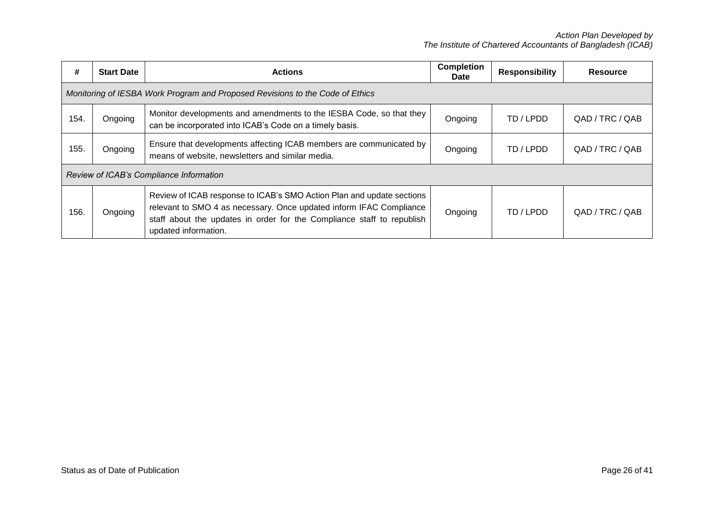| #    | <b>Start Date</b>                                                             | <b>Actions</b>                                                                                                                                                                                                                                 | <b>Completion</b><br><b>Date</b> | <b>Responsibility</b> | <b>Resource</b> |  |  |  |
|------|-------------------------------------------------------------------------------|------------------------------------------------------------------------------------------------------------------------------------------------------------------------------------------------------------------------------------------------|----------------------------------|-----------------------|-----------------|--|--|--|
|      | Monitoring of IESBA Work Program and Proposed Revisions to the Code of Ethics |                                                                                                                                                                                                                                                |                                  |                       |                 |  |  |  |
| 154. | Ongoing                                                                       | Monitor developments and amendments to the IESBA Code, so that they<br>can be incorporated into ICAB's Code on a timely basis.                                                                                                                 | Ongoing                          | TD / LPDD             | QAD / TRC / QAB |  |  |  |
| 155. | Ongoing                                                                       | Ensure that developments affecting ICAB members are communicated by<br>means of website, newsletters and similar media.                                                                                                                        | Ongoing                          | TD / LPDD             | QAD / TRC / QAB |  |  |  |
|      | Review of ICAB's Compliance Information                                       |                                                                                                                                                                                                                                                |                                  |                       |                 |  |  |  |
| 156. | Ongoing                                                                       | Review of ICAB response to ICAB's SMO Action Plan and update sections<br>relevant to SMO 4 as necessary. Once updated inform IFAC Compliance<br>staff about the updates in order for the Compliance staff to republish<br>updated information. | Ongoing                          | TD / LPDD             | QAD / TRC / QAB |  |  |  |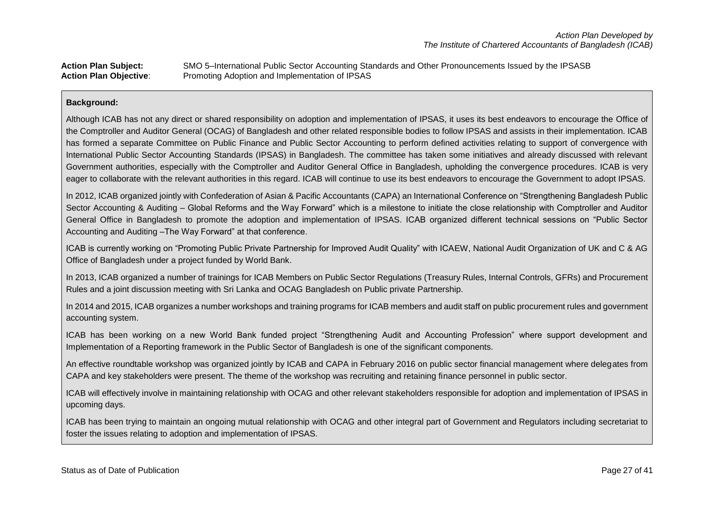**Action Plan Subject:** SMO 5–International Public Sector Accounting Standards and Other Pronouncements Issued by the IPSASB **Action Plan Objective**: Promoting Adoption and Implementation of IPSAS

#### **Background:**

Although ICAB has not any direct or shared responsibility on adoption and implementation of IPSAS, it uses its best endeavors to encourage the Office of the Comptroller and Auditor General (OCAG) of Bangladesh and other related responsible bodies to follow IPSAS and assists in their implementation. ICAB has formed a separate [Committee on Public Finance and Public Sector Accounting](http://www.icab.org.bd/standing_nonstanding.php#23) to perform defined activities relating to support of convergence with International Public Sector Accounting Standards (IPSAS) in Bangladesh. The committee has taken some initiatives and already discussed with relevant Government authorities, especially with the Comptroller and Auditor General Office in Bangladesh, upholding the convergence procedures. ICAB is very eager to collaborate with the relevant authorities in this regard. ICAB will continue to use its best endeavors to encourage the Government to adopt IPSAS.

In 2012, ICAB organized jointly with Confederation of Asian & Pacific Accountants (CAPA) an International Conference on "Strengthening Bangladesh Public Sector Accounting & Auditing – Global Reforms and the Way Forward" which is a milestone to initiate the close relationship with Comptroller and Auditor General Office in Bangladesh to promote the adoption and implementation of IPSAS. ICAB organized different technical sessions on "Public Sector Accounting and Auditing –The Way Forward" at that conference.

ICAB is currently working on "Promoting Public Private Partnership for Improved Audit Quality" with ICAEW, National Audit Organization of UK and C & AG Office of Bangladesh under a project funded by World Bank.

In 2013, ICAB organized a number of trainings for ICAB Members on Public Sector Regulations (Treasury Rules, Internal Controls, GFRs) and Procurement Rules and a joint discussion meeting with Sri Lanka and OCAG Bangladesh on Public private Partnership.

In 2014 and 2015, ICAB organizes a number workshops and training programs for ICAB members and audit staff on public procurement rules and government accounting system.

ICAB has been working on a new World Bank funded project "Strengthening Audit and Accounting Profession" where support development and Implementation of a Reporting framework in the Public Sector of Bangladesh is one of the significant components.

An effective roundtable workshop was organized jointly by ICAB and CAPA in February 2016 on public sector financial management where delegates from CAPA and key stakeholders were present. The theme of the workshop was recruiting and retaining finance personnel in public sector.

ICAB will effectively involve in maintaining relationship with OCAG and other relevant stakeholders responsible for adoption and implementation of IPSAS in upcoming days.

ICAB has been trying to maintain an ongoing mutual relationship with OCAG and other integral part of Government and Regulators including secretariat to foster the issues relating to adoption and implementation of IPSAS.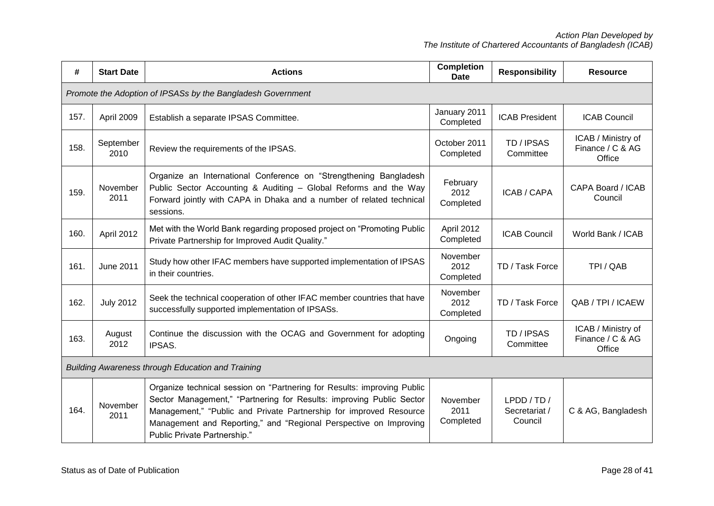| #    | <b>Start Date</b>                                           | <b>Actions</b>                                                                                                                                                                                                                                                                                                             | <b>Completion</b><br><b>Date</b> | <b>Responsibility</b>                | <b>Resource</b>                                  |  |  |  |  |
|------|-------------------------------------------------------------|----------------------------------------------------------------------------------------------------------------------------------------------------------------------------------------------------------------------------------------------------------------------------------------------------------------------------|----------------------------------|--------------------------------------|--------------------------------------------------|--|--|--|--|
|      | Promote the Adoption of IPSASs by the Bangladesh Government |                                                                                                                                                                                                                                                                                                                            |                                  |                                      |                                                  |  |  |  |  |
| 157. | April 2009                                                  | Establish a separate IPSAS Committee.                                                                                                                                                                                                                                                                                      | January 2011<br>Completed        | <b>ICAB President</b>                | <b>ICAB Council</b>                              |  |  |  |  |
| 158. | September<br>2010                                           | Review the requirements of the IPSAS.                                                                                                                                                                                                                                                                                      | October 2011<br>Completed        | TD / IPSAS<br>Committee              | ICAB / Ministry of<br>Finance / C & AG<br>Office |  |  |  |  |
| 159. | November<br>2011                                            | Organize an International Conference on "Strengthening Bangladesh<br>Public Sector Accounting & Auditing - Global Reforms and the Way<br>Forward jointly with CAPA in Dhaka and a number of related technical<br>sessions.                                                                                                 | February<br>2012<br>Completed    | ICAB / CAPA                          | CAPA Board / ICAB<br>Council                     |  |  |  |  |
| 160. | April 2012                                                  | Met with the World Bank regarding proposed project on "Promoting Public<br>Private Partnership for Improved Audit Quality."                                                                                                                                                                                                | April 2012<br>Completed          | <b>ICAB Council</b>                  | World Bank / ICAB                                |  |  |  |  |
| 161. | <b>June 2011</b>                                            | Study how other IFAC members have supported implementation of IPSAS<br>in their countries.                                                                                                                                                                                                                                 | November<br>2012<br>Completed    | TD / Task Force                      | TPI / QAB                                        |  |  |  |  |
| 162. | <b>July 2012</b>                                            | Seek the technical cooperation of other IFAC member countries that have<br>successfully supported implementation of IPSASs.                                                                                                                                                                                                | November<br>2012<br>Completed    | TD / Task Force                      | QAB / TPI / ICAEW                                |  |  |  |  |
| 163. | August<br>2012                                              | Continue the discussion with the OCAG and Government for adopting<br>IPSAS.                                                                                                                                                                                                                                                | Ongoing                          | TD / IPSAS<br>Committee              | ICAB / Ministry of<br>Finance / C & AG<br>Office |  |  |  |  |
|      |                                                             | Building Awareness through Education and Training                                                                                                                                                                                                                                                                          |                                  |                                      |                                                  |  |  |  |  |
| 164. | November<br>2011                                            | Organize technical session on "Partnering for Results: improving Public<br>Sector Management," "Partnering for Results: improving Public Sector<br>Management," "Public and Private Partnership for improved Resource<br>Management and Reporting," and "Regional Perspective on Improving<br>Public Private Partnership." | November<br>2011<br>Completed    | LPDD/TD/<br>Secretariat /<br>Council | C & AG, Bangladesh                               |  |  |  |  |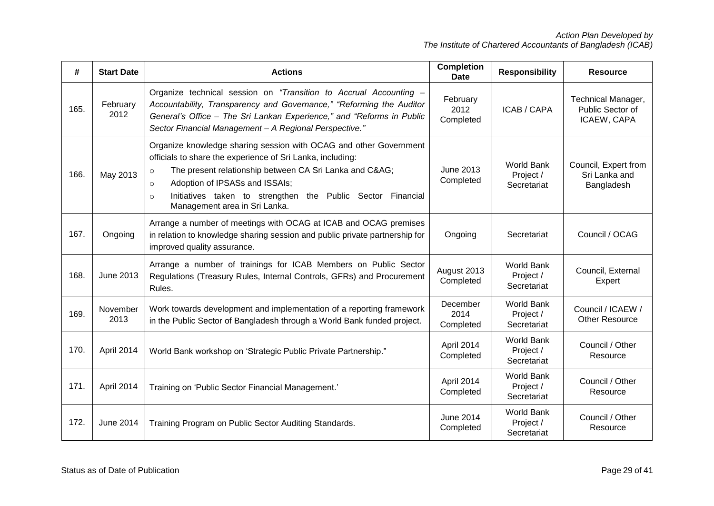| #    | <b>Start Date</b> | <b>Actions</b>                                                                                                                                                                                                                                                                                                                                                | <b>Completion</b><br><b>Date</b> | <b>Responsibility</b>                         | <b>Resource</b>                                       |
|------|-------------------|---------------------------------------------------------------------------------------------------------------------------------------------------------------------------------------------------------------------------------------------------------------------------------------------------------------------------------------------------------------|----------------------------------|-----------------------------------------------|-------------------------------------------------------|
| 165. | February<br>2012  | Organize technical session on "Transition to Accrual Accounting -<br>Accountability, Transparency and Governance," "Reforming the Auditor<br>General's Office - The Sri Lankan Experience," and "Reforms in Public<br>Sector Financial Management - A Regional Perspective."                                                                                  | February<br>2012<br>Completed    | ICAB / CAPA                                   | Technical Manager,<br>Public Sector of<br>ICAEW, CAPA |
| 166. | May 2013          | Organize knowledge sharing session with OCAG and other Government<br>officials to share the experience of Sri Lanka, including:<br>The present relationship between CA Sri Lanka and C&AG<br>$\circ$<br>Adoption of IPSASs and ISSAIs;<br>$\circ$<br>Initiatives taken to strengthen the Public Sector Financial<br>$\Omega$<br>Management area in Sri Lanka. | June 2013<br>Completed           | <b>World Bank</b><br>Project /<br>Secretariat | Council, Expert from<br>Sri Lanka and<br>Bangladesh   |
| 167. | Ongoing           | Arrange a number of meetings with OCAG at ICAB and OCAG premises<br>in relation to knowledge sharing session and public private partnership for<br>improved quality assurance.                                                                                                                                                                                | Ongoing                          | Secretariat                                   | Council / OCAG                                        |
| 168. | June 2013         | Arrange a number of trainings for ICAB Members on Public Sector<br>Regulations (Treasury Rules, Internal Controls, GFRs) and Procurement<br>Rules.                                                                                                                                                                                                            | August 2013<br>Completed         | <b>World Bank</b><br>Project /<br>Secretariat | Council, External<br>Expert                           |
| 169. | November<br>2013  | Work towards development and implementation of a reporting framework<br>in the Public Sector of Bangladesh through a World Bank funded project.                                                                                                                                                                                                               | December<br>2014<br>Completed    | <b>World Bank</b><br>Project /<br>Secretariat | Council / ICAEW /<br><b>Other Resource</b>            |
| 170. | April 2014        | World Bank workshop on 'Strategic Public Private Partnership."                                                                                                                                                                                                                                                                                                | April 2014<br>Completed          | <b>World Bank</b><br>Project /<br>Secretariat | Council / Other<br>Resource                           |
| 171. | April 2014        | Training on 'Public Sector Financial Management.'                                                                                                                                                                                                                                                                                                             | April 2014<br>Completed          | <b>World Bank</b><br>Project /<br>Secretariat | Council / Other<br>Resource                           |
| 172. | <b>June 2014</b>  | Training Program on Public Sector Auditing Standards.                                                                                                                                                                                                                                                                                                         | <b>June 2014</b><br>Completed    | <b>World Bank</b><br>Project /<br>Secretariat | Council / Other<br>Resource                           |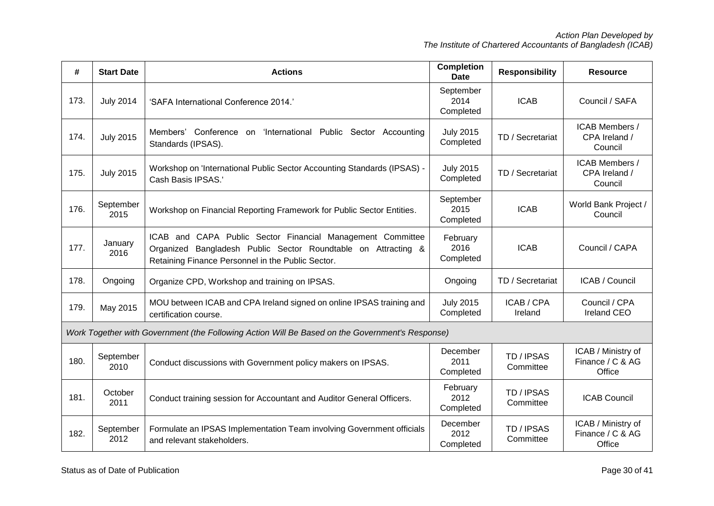| #    | <b>Start Date</b> | <b>Actions</b>                                                                                                                                                                   | <b>Completion</b><br><b>Date</b> | <b>Responsibility</b>   | <b>Resource</b>                                  |
|------|-------------------|----------------------------------------------------------------------------------------------------------------------------------------------------------------------------------|----------------------------------|-------------------------|--------------------------------------------------|
| 173. | <b>July 2014</b>  | 'SAFA International Conference 2014.'                                                                                                                                            | September<br>2014<br>Completed   | <b>ICAB</b>             | Council / SAFA                                   |
| 174. | <b>July 2015</b>  | Members' Conference on<br>'International Public Sector Accounting<br>Standards (IPSAS).                                                                                          | <b>July 2015</b><br>Completed    | TD / Secretariat        | ICAB Members /<br>CPA Ireland /<br>Council       |
| 175. | <b>July 2015</b>  | Workshop on 'International Public Sector Accounting Standards (IPSAS) -<br>Cash Basis IPSAS.'                                                                                    | <b>July 2015</b><br>Completed    | TD / Secretariat        | ICAB Members /<br>CPA Ireland /<br>Council       |
| 176. | September<br>2015 | Workshop on Financial Reporting Framework for Public Sector Entities.                                                                                                            | September<br>2015<br>Completed   | <b>ICAB</b>             | World Bank Project /<br>Council                  |
| 177. | January<br>2016   | ICAB and CAPA Public Sector Financial Management Committee<br>Organized Bangladesh Public Sector Roundtable on Attracting &<br>Retaining Finance Personnel in the Public Sector. | February<br>2016<br>Completed    | <b>ICAB</b>             | Council / CAPA                                   |
| 178. | Ongoing           | Organize CPD, Workshop and training on IPSAS.                                                                                                                                    | Ongoing                          | TD / Secretariat        | ICAB / Council                                   |
| 179. | May 2015          | MOU between ICAB and CPA Ireland signed on online IPSAS training and<br>certification course.                                                                                    | <b>July 2015</b><br>Completed    | ICAB / CPA<br>Ireland   | Council / CPA<br>Ireland CEO                     |
|      |                   | Work Together with Government (the Following Action Will Be Based on the Government's Response)                                                                                  |                                  |                         |                                                  |
| 180. | September<br>2010 | Conduct discussions with Government policy makers on IPSAS.                                                                                                                      | December<br>2011<br>Completed    | TD / IPSAS<br>Committee | ICAB / Ministry of<br>Finance / C & AG<br>Office |
| 181. | October<br>2011   | Conduct training session for Accountant and Auditor General Officers.                                                                                                            | February<br>2012<br>Completed    | TD / IPSAS<br>Committee | <b>ICAB Council</b>                              |
| 182. | September<br>2012 | Formulate an IPSAS Implementation Team involving Government officials<br>and relevant stakeholders.                                                                              | December<br>2012<br>Completed    | TD / IPSAS<br>Committee | ICAB / Ministry of<br>Finance / C & AG<br>Office |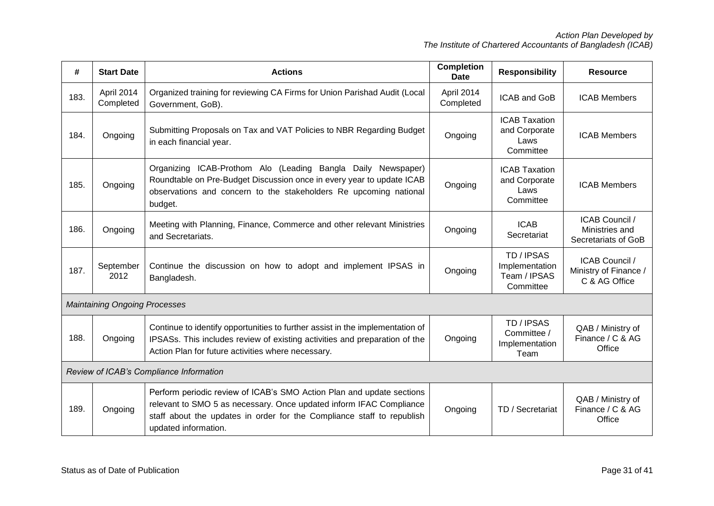| #    | <b>Start Date</b>                    | <b>Actions</b>                                                                                                                                                                                                                                 | <b>Completion</b><br><b>Date</b> | <b>Responsibility</b>                                      | <b>Resource</b>                                          |
|------|--------------------------------------|------------------------------------------------------------------------------------------------------------------------------------------------------------------------------------------------------------------------------------------------|----------------------------------|------------------------------------------------------------|----------------------------------------------------------|
| 183. | April 2014<br>Completed              | Organized training for reviewing CA Firms for Union Parishad Audit (Local<br>Government, GoB).                                                                                                                                                 | April 2014<br>Completed          | ICAB and GoB                                               | <b>ICAB Members</b>                                      |
| 184. | Ongoing                              | Submitting Proposals on Tax and VAT Policies to NBR Regarding Budget<br>in each financial year.                                                                                                                                                | Ongoing                          | <b>ICAB Taxation</b><br>and Corporate<br>Laws<br>Committee | <b>ICAB Members</b>                                      |
| 185. | Ongoing                              | Organizing ICAB-Prothom Alo (Leading Bangla Daily Newspaper)<br>Roundtable on Pre-Budget Discussion once in every year to update ICAB<br>observations and concern to the stakeholders Re upcoming national<br>budget.                          | Ongoing                          | <b>ICAB Taxation</b><br>and Corporate<br>Laws<br>Committee | <b>ICAB Members</b>                                      |
| 186. | Ongoing                              | Meeting with Planning, Finance, Commerce and other relevant Ministries<br>and Secretariats.                                                                                                                                                    | Ongoing                          | <b>ICAB</b><br>Secretariat                                 | ICAB Council /<br>Ministries and<br>Secretariats of GoB  |
| 187. | September<br>2012                    | Continue the discussion on how to adopt and implement IPSAS in<br>Bangladesh.                                                                                                                                                                  | Ongoing                          | TD / IPSAS<br>Implementation<br>Team / IPSAS<br>Committee  | ICAB Council /<br>Ministry of Finance /<br>C & AG Office |
|      | <b>Maintaining Ongoing Processes</b> |                                                                                                                                                                                                                                                |                                  |                                                            |                                                          |
| 188. | Ongoing                              | Continue to identify opportunities to further assist in the implementation of<br>IPSASs. This includes review of existing activities and preparation of the<br>Action Plan for future activities where necessary.                              | Ongoing                          | TD / IPSAS<br>Committee /<br>Implementation<br>Team        | QAB / Ministry of<br>Finance / C & AG<br>Office          |
|      |                                      | Review of ICAB's Compliance Information                                                                                                                                                                                                        |                                  |                                                            |                                                          |
| 189. | Ongoing                              | Perform periodic review of ICAB's SMO Action Plan and update sections<br>relevant to SMO 5 as necessary. Once updated inform IFAC Compliance<br>staff about the updates in order for the Compliance staff to republish<br>updated information. | Ongoing                          | TD / Secretariat                                           | QAB / Ministry of<br>Finance / C & AG<br>Office          |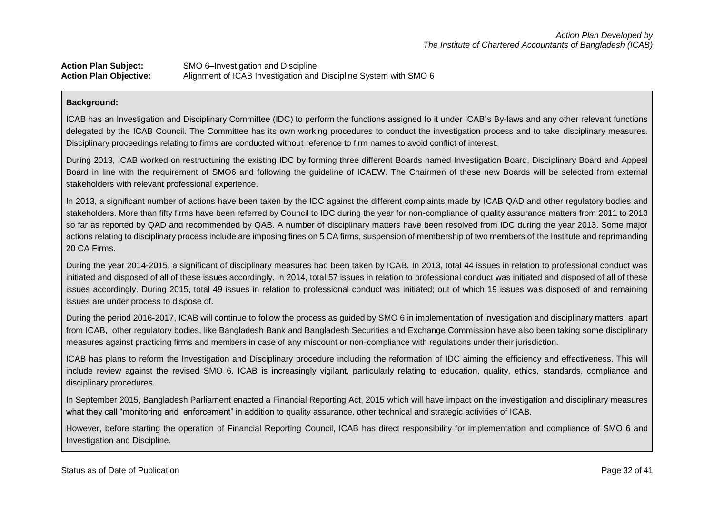**Action Plan Subject:** SMO 6–Investigation and Discipline **Action Plan Objective:** Alignment of ICAB Investigation and Discipline System with SMO 6

## **Background:**

ICAB has an Investigation and Disciplinary Committee (IDC) to perform the functions assigned to it under ICAB's By-laws and any other relevant functions delegated by the ICAB Council. The Committee has its own working procedures to conduct the investigation process and to take disciplinary measures. Disciplinary proceedings relating to firms are conducted without reference to firm names to avoid conflict of interest.

During 2013, ICAB worked on restructuring the existing IDC by forming three different Boards named Investigation Board, Disciplinary Board and Appeal Board in line with the requirement of SMO6 and following the guideline of ICAEW. The Chairmen of these new Boards will be selected from external stakeholders with relevant professional experience.

In 2013, a significant number of actions have been taken by the IDC against the different complaints made by ICAB QAD and other regulatory bodies and stakeholders. More than fifty firms have been referred by Council to IDC during the year for non-compliance of quality assurance matters from 2011 to 2013 so far as reported by QAD and recommended by QAB. A number of disciplinary matters have been resolved from IDC during the year 2013. Some major actions relating to disciplinary process include are imposing fines on 5 CA firms, suspension of membership of two members of the Institute and reprimanding 20 CA Firms.

During the year 2014-2015, a significant of disciplinary measures had been taken by ICAB. In 2013, total 44 issues in relation to professional conduct was initiated and disposed of all of these issues accordingly. In 2014, total 57 issues in relation to professional conduct was initiated and disposed of all of these issues accordingly. During 2015, total 49 issues in relation to professional conduct was initiated; out of which 19 issues was disposed of and remaining issues are under process to dispose of.

During the period 2016-2017, ICAB will continue to follow the process as guided by SMO 6 in implementation of investigation and disciplinary matters. apart from ICAB, other regulatory bodies, like Bangladesh Bank and Bangladesh Securities and Exchange Commission have also been taking some disciplinary measures against practicing firms and members in case of any miscount or non-compliance with regulations under their jurisdiction.

ICAB has plans to reform the Investigation and Disciplinary procedure including the reformation of IDC aiming the efficiency and effectiveness. This will include review against the revised SMO 6. ICAB is increasingly vigilant, particularly relating to education, quality, ethics, standards, compliance and disciplinary procedures.

In September 2015, Bangladesh Parliament enacted a Financial Reporting Act, 2015 which will have impact on the investigation and disciplinary measures what they call "monitoring and enforcement" in addition to quality assurance, other technical and strategic activities of ICAB.

However, before starting the operation of Financial Reporting Council, ICAB has direct responsibility for implementation and compliance of SMO 6 and Investigation and Discipline.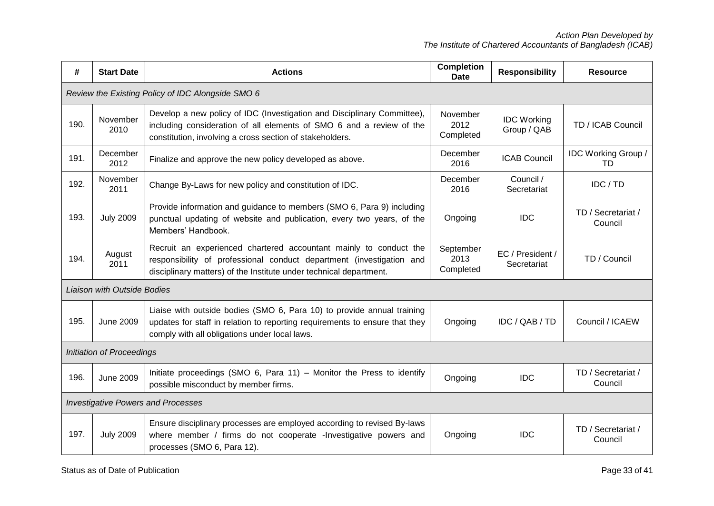| #    | <b>Start Date</b>                                 | <b>Actions</b>                                                                                                                                                                                                  | <b>Completion</b><br><b>Date</b> | <b>Responsibility</b>             | <b>Resource</b>                  |  |  |  |
|------|---------------------------------------------------|-----------------------------------------------------------------------------------------------------------------------------------------------------------------------------------------------------------------|----------------------------------|-----------------------------------|----------------------------------|--|--|--|
|      | Review the Existing Policy of IDC Alongside SMO 6 |                                                                                                                                                                                                                 |                                  |                                   |                                  |  |  |  |
| 190. | November<br>2010                                  | Develop a new policy of IDC (Investigation and Disciplinary Committee),<br>including consideration of all elements of SMO 6 and a review of the<br>constitution, involving a cross section of stakeholders.     | November<br>2012<br>Completed    | <b>IDC Working</b><br>Group / QAB | TD / ICAB Council                |  |  |  |
| 191. | December<br>2012                                  | Finalize and approve the new policy developed as above.                                                                                                                                                         | December<br>2016                 | <b>ICAB Council</b>               | IDC Working Group /<br><b>TD</b> |  |  |  |
| 192. | November<br>2011                                  | Change By-Laws for new policy and constitution of IDC.                                                                                                                                                          | December<br>2016                 | Council /<br>Secretariat          | IDC / TD                         |  |  |  |
| 193. | <b>July 2009</b>                                  | Provide information and guidance to members (SMO 6, Para 9) including<br>punctual updating of website and publication, every two years, of the<br>Members' Handbook.                                            | Ongoing                          | <b>IDC</b>                        | TD / Secretariat /<br>Council    |  |  |  |
| 194. | August<br>2011                                    | Recruit an experienced chartered accountant mainly to conduct the<br>responsibility of professional conduct department (investigation and<br>disciplinary matters) of the Institute under technical department. | September<br>2013<br>Completed   | EC / President /<br>Secretariat   | TD / Council                     |  |  |  |
|      | <b>Liaison with Outside Bodies</b>                |                                                                                                                                                                                                                 |                                  |                                   |                                  |  |  |  |
| 195. | <b>June 2009</b>                                  | Liaise with outside bodies (SMO 6, Para 10) to provide annual training<br>updates for staff in relation to reporting requirements to ensure that they<br>comply with all obligations under local laws.          | Ongoing                          | IDC / QAB / TD                    | Council / ICAEW                  |  |  |  |
|      | Initiation of Proceedings                         |                                                                                                                                                                                                                 |                                  |                                   |                                  |  |  |  |
| 196. | <b>June 2009</b>                                  | Initiate proceedings (SMO 6, Para 11) - Monitor the Press to identify<br>possible misconduct by member firms.                                                                                                   | Ongoing                          | <b>IDC</b>                        | TD / Secretariat /<br>Council    |  |  |  |
|      |                                                   | <b>Investigative Powers and Processes</b>                                                                                                                                                                       |                                  |                                   |                                  |  |  |  |
| 197. | <b>July 2009</b>                                  | Ensure disciplinary processes are employed according to revised By-laws<br>where member / firms do not cooperate -Investigative powers and<br>processes (SMO 6, Para 12).                                       | Ongoing                          | <b>IDC</b>                        | TD / Secretariat /<br>Council    |  |  |  |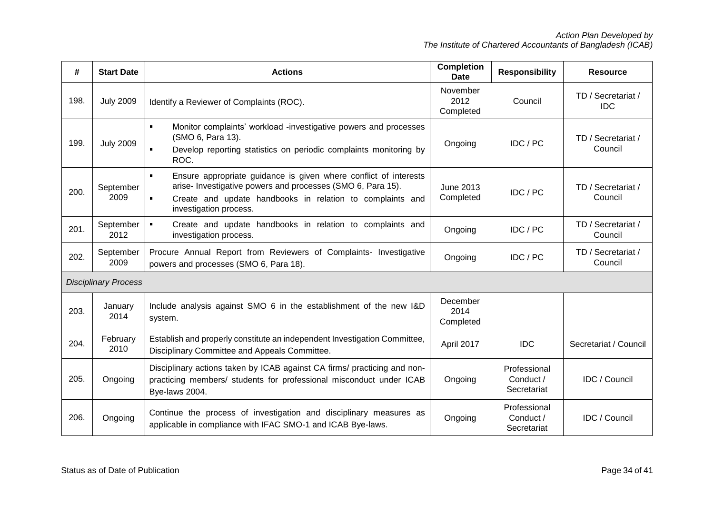| #    | <b>Start Date</b>           | <b>Actions</b>                                                                                                                                                                                                                                             | <b>Completion</b><br><b>Date</b> | <b>Responsibility</b>                    | <b>Resource</b>                  |
|------|-----------------------------|------------------------------------------------------------------------------------------------------------------------------------------------------------------------------------------------------------------------------------------------------------|----------------------------------|------------------------------------------|----------------------------------|
| 198. | <b>July 2009</b>            | Identify a Reviewer of Complaints (ROC).                                                                                                                                                                                                                   | November<br>2012<br>Completed    | Council                                  | TD / Secretariat /<br><b>IDC</b> |
| 199. | <b>July 2009</b>            | Monitor complaints' workload -investigative powers and processes<br>$\blacksquare$<br>(SMO 6, Para 13).<br>Develop reporting statistics on periodic complaints monitoring by<br>$\blacksquare$<br>ROC.                                                     | Ongoing                          | IDC / PC                                 | TD / Secretariat /<br>Council    |
| 200. | September<br>2009           | Ensure appropriate guidance is given where conflict of interests<br>$\blacksquare$<br>arise- Investigative powers and processes (SMO 6, Para 15).<br>Create and update handbooks in relation to complaints and<br>$\blacksquare$<br>investigation process. | <b>June 2013</b><br>Completed    | IDC / PC                                 | TD / Secretariat /<br>Council    |
| 201. | September<br>2012           | Create and update handbooks in relation to complaints and<br>$\blacksquare$<br>investigation process.                                                                                                                                                      | Ongoing                          | IDC / PC                                 | TD / Secretariat /<br>Council    |
| 202. | September<br>2009           | Procure Annual Report from Reviewers of Complaints- Investigative<br>powers and processes (SMO 6, Para 18).                                                                                                                                                | Ongoing                          | IDC / PC                                 | TD / Secretariat /<br>Council    |
|      | <b>Disciplinary Process</b> |                                                                                                                                                                                                                                                            |                                  |                                          |                                  |
| 203. | January<br>2014             | Include analysis against SMO 6 in the establishment of the new I&D<br>system.                                                                                                                                                                              | December<br>2014<br>Completed    |                                          |                                  |
| 204. | February<br>2010            | Establish and properly constitute an independent Investigation Committee,<br>Disciplinary Committee and Appeals Committee.                                                                                                                                 | April 2017                       | <b>IDC</b>                               | Secretariat / Council            |
| 205. | Ongoing                     | Disciplinary actions taken by ICAB against CA firms/ practicing and non-<br>practicing members/ students for professional misconduct under ICAB<br>Bye-laws 2004.                                                                                          | Ongoing                          | Professional<br>Conduct /<br>Secretariat | <b>IDC / Council</b>             |
| 206. | Ongoing                     | Continue the process of investigation and disciplinary measures as<br>applicable in compliance with IFAC SMO-1 and ICAB Bye-laws.                                                                                                                          | Ongoing                          | Professional<br>Conduct /<br>Secretariat | <b>IDC / Council</b>             |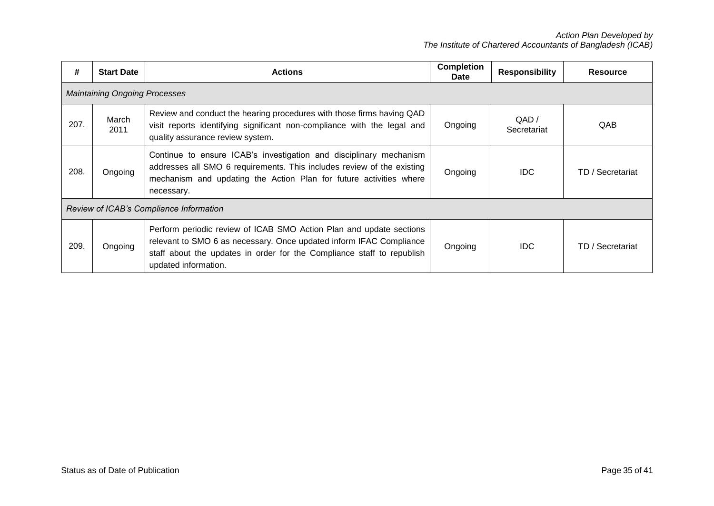| #    | <b>Start Date</b>                    | <b>Actions</b>                                                                                                                                                                                                                               | <b>Completion</b><br><b>Date</b> | <b>Responsibility</b> | <b>Resource</b>  |  |  |  |  |
|------|--------------------------------------|----------------------------------------------------------------------------------------------------------------------------------------------------------------------------------------------------------------------------------------------|----------------------------------|-----------------------|------------------|--|--|--|--|
|      | <b>Maintaining Ongoing Processes</b> |                                                                                                                                                                                                                                              |                                  |                       |                  |  |  |  |  |
| 207. | March<br>2011                        | Review and conduct the hearing procedures with those firms having QAD<br>visit reports identifying significant non-compliance with the legal and<br>quality assurance review system.                                                         | Ongoing                          | QAD/<br>Secretariat   | QAB              |  |  |  |  |
| 208. | Ongoing                              | Continue to ensure ICAB's investigation and disciplinary mechanism<br>addresses all SMO 6 requirements. This includes review of the existing<br>mechanism and updating the Action Plan for future activities where<br>necessary.             | Ongoing                          | IDC.                  | TD / Secretariat |  |  |  |  |
|      |                                      | Review of ICAB's Compliance Information                                                                                                                                                                                                      |                                  |                       |                  |  |  |  |  |
| 209. | Ongoing                              | Perform periodic review of ICAB SMO Action Plan and update sections<br>relevant to SMO 6 as necessary. Once updated inform IFAC Compliance<br>staff about the updates in order for the Compliance staff to republish<br>updated information. | Ongoing                          | IDC.                  | TD / Secretariat |  |  |  |  |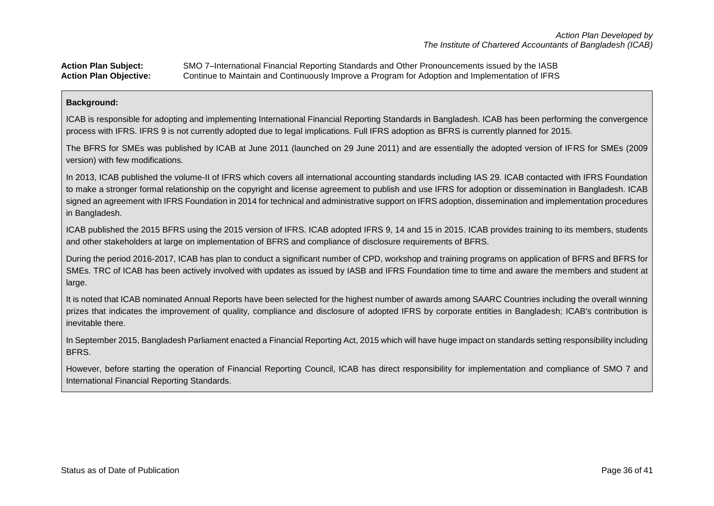## **Action Plan Subject:** SMO 7–International Financial Reporting Standards and Other Pronouncements issued by the IASB **Action Plan Objective:** Continue to Maintain and Continuously Improve a Program for Adoption and Implementation of IFRS

### **Background:**

ICAB is responsible for adopting and implementing International Financial Reporting Standards in Bangladesh. ICAB has been performing the convergence process with IFRS. IFRS 9 is not currently adopted due to legal implications. Full IFRS adoption as BFRS is currently planned for 2015.

The BFRS for SMEs was published by ICAB at June 2011 (launched on 29 June 2011) and are essentially the adopted version of IFRS for SMEs (2009 version) with few modifications.

In 2013, ICAB published the volume-II of IFRS which covers all international accounting standards including IAS 29. ICAB contacted with IFRS Foundation to make a stronger formal relationship on the copyright and license agreement to publish and use IFRS for adoption or dissemination in Bangladesh. ICAB signed an agreement with IFRS Foundation in 2014 for technical and administrative support on IFRS adoption, dissemination and implementation procedures in Bangladesh.

ICAB published the 2015 BFRS using the 2015 version of IFRS. ICAB adopted IFRS 9, 14 and 15 in 2015. ICAB provides training to its members, students and other stakeholders at large on implementation of BFRS and compliance of disclosure requirements of BFRS.

During the period 2016-2017, ICAB has plan to conduct a significant number of CPD, workshop and training programs on application of BFRS and BFRS for SMEs. TRC of ICAB has been actively involved with updates as issued by IASB and IFRS Foundation time to time and aware the members and student at large.

It is noted that ICAB nominated Annual Reports have been selected for the highest number of awards among SAARC Countries including the overall winning prizes that indicates the improvement of quality, compliance and disclosure of adopted IFRS by corporate entities in Bangladesh; ICAB's contribution is inevitable there.

In September 2015, Bangladesh Parliament enacted a Financial Reporting Act, 2015 which will have huge impact on standards setting responsibility including BFRS.

However, before starting the operation of Financial Reporting Council, ICAB has direct responsibility for implementation and compliance of SMO 7 and International Financial Reporting Standards.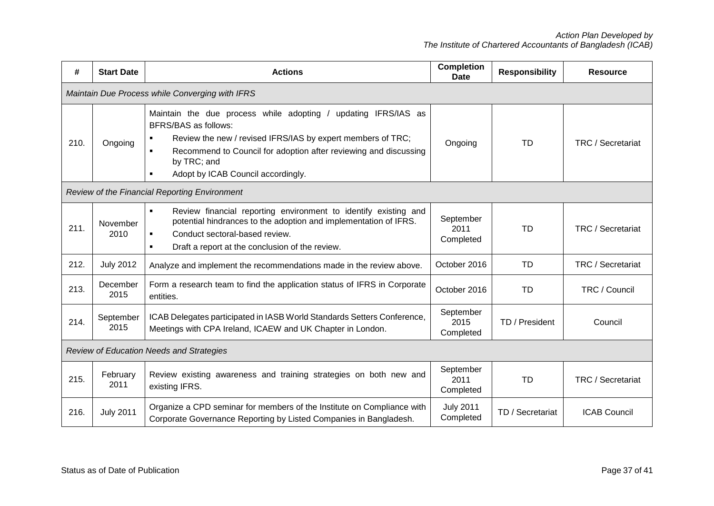| #    | <b>Start Date</b>                               | <b>Actions</b>                                                                                                                                                                                                                                                                              | <b>Completion</b><br><b>Date</b> | <b>Responsibility</b> | <b>Resource</b>          |  |  |  |  |
|------|-------------------------------------------------|---------------------------------------------------------------------------------------------------------------------------------------------------------------------------------------------------------------------------------------------------------------------------------------------|----------------------------------|-----------------------|--------------------------|--|--|--|--|
|      | Maintain Due Process while Converging with IFRS |                                                                                                                                                                                                                                                                                             |                                  |                       |                          |  |  |  |  |
| 210. | Ongoing                                         | Maintain the due process while adopting /<br>updating IFRS/IAS as<br>BFRS/BAS as follows:<br>Review the new / revised IFRS/IAS by expert members of TRC;<br>٠<br>Recommend to Council for adoption after reviewing and discussing<br>by TRC; and<br>Adopt by ICAB Council accordingly.<br>٠ | Ongoing                          | <b>TD</b>             | TRC / Secretariat        |  |  |  |  |
|      |                                                 | Review of the Financial Reporting Environment                                                                                                                                                                                                                                               |                                  |                       |                          |  |  |  |  |
| 211. | November<br>2010                                | $\blacksquare$<br>Review financial reporting environment to identify existing and<br>potential hindrances to the adoption and implementation of IFRS.<br>Conduct sectoral-based review.<br>٠<br>Draft a report at the conclusion of the review.<br>٠                                        | September<br>2011<br>Completed   | <b>TD</b>             | TRC / Secretariat        |  |  |  |  |
| 212. | <b>July 2012</b>                                | Analyze and implement the recommendations made in the review above.                                                                                                                                                                                                                         | October 2016                     | <b>TD</b>             | TRC / Secretariat        |  |  |  |  |
| 213. | December<br>2015                                | Form a research team to find the application status of IFRS in Corporate<br>entities.                                                                                                                                                                                                       | October 2016                     | <b>TD</b>             | TRC / Council            |  |  |  |  |
| 214. | September<br>2015                               | ICAB Delegates participated in IASB World Standards Setters Conference,<br>Meetings with CPA Ireland, ICAEW and UK Chapter in London.                                                                                                                                                       | September<br>2015<br>Completed   | TD / President        | Council                  |  |  |  |  |
|      |                                                 | Review of Education Needs and Strategies                                                                                                                                                                                                                                                    |                                  |                       |                          |  |  |  |  |
| 215. | February<br>2011                                | Review existing awareness and training strategies on both new and<br>existing IFRS.                                                                                                                                                                                                         | September<br>2011<br>Completed   | <b>TD</b>             | <b>TRC / Secretariat</b> |  |  |  |  |
| 216. | <b>July 2011</b>                                | Organize a CPD seminar for members of the Institute on Compliance with<br>Corporate Governance Reporting by Listed Companies in Bangladesh.                                                                                                                                                 | <b>July 2011</b><br>Completed    | TD / Secretariat      | <b>ICAB Council</b>      |  |  |  |  |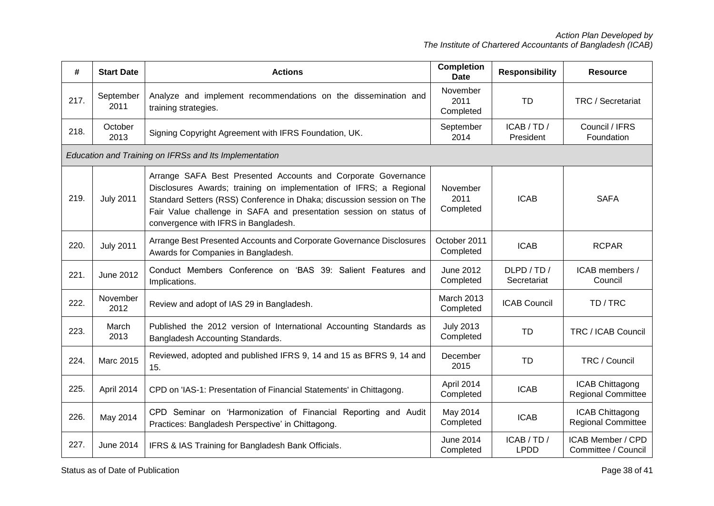| #    | <b>Start Date</b> | <b>Actions</b>                                                                                                                                                                                                                                                                                                             | <b>Completion</b><br><b>Date</b> | <b>Responsibility</b>      | <b>Resource</b>                                     |
|------|-------------------|----------------------------------------------------------------------------------------------------------------------------------------------------------------------------------------------------------------------------------------------------------------------------------------------------------------------------|----------------------------------|----------------------------|-----------------------------------------------------|
| 217. | September<br>2011 | Analyze and implement recommendations on the dissemination and<br>training strategies.                                                                                                                                                                                                                                     | November<br>2011<br>Completed    | <b>TD</b>                  | TRC / Secretariat                                   |
| 218. | October<br>2013   | Signing Copyright Agreement with IFRS Foundation, UK.                                                                                                                                                                                                                                                                      | September<br>2014                | ICAB/TD/<br>President      | Council / IFRS<br>Foundation                        |
|      |                   | Education and Training on IFRSs and Its Implementation                                                                                                                                                                                                                                                                     |                                  |                            |                                                     |
| 219. | <b>July 2011</b>  | Arrange SAFA Best Presented Accounts and Corporate Governance<br>Disclosures Awards; training on implementation of IFRS; a Regional<br>Standard Setters (RSS) Conference in Dhaka; discussion session on The<br>Fair Value challenge in SAFA and presentation session on status of<br>convergence with IFRS in Bangladesh. | November<br>2011<br>Completed    | <b>ICAB</b>                | <b>SAFA</b>                                         |
| 220. | <b>July 2011</b>  | Arrange Best Presented Accounts and Corporate Governance Disclosures<br>Awards for Companies in Bangladesh.                                                                                                                                                                                                                | October 2011<br>Completed        | <b>ICAB</b>                | <b>RCPAR</b>                                        |
| 221. | <b>June 2012</b>  | Conduct Members Conference on 'BAS 39: Salient Features and<br>Implications.                                                                                                                                                                                                                                               | <b>June 2012</b><br>Completed    | DLPD / TD /<br>Secretariat | ICAB members /<br>Council                           |
| 222. | November<br>2012  | Review and adopt of IAS 29 in Bangladesh.                                                                                                                                                                                                                                                                                  | <b>March 2013</b><br>Completed   | <b>ICAB Council</b>        | TD/TRC                                              |
| 223. | March<br>2013     | Published the 2012 version of International Accounting Standards as<br>Bangladesh Accounting Standards.                                                                                                                                                                                                                    | <b>July 2013</b><br>Completed    | <b>TD</b>                  | TRC / ICAB Council                                  |
| 224. | <b>Marc 2015</b>  | Reviewed, adopted and published IFRS 9, 14 and 15 as BFRS 9, 14 and<br>15.                                                                                                                                                                                                                                                 | December<br>2015                 | <b>TD</b>                  | TRC / Council                                       |
| 225. | April 2014        | CPD on 'IAS-1: Presentation of Financial Statements' in Chittagong.                                                                                                                                                                                                                                                        | April 2014<br>Completed          | <b>ICAB</b>                | <b>ICAB Chittagong</b><br><b>Regional Committee</b> |
| 226. | May 2014          | CPD Seminar on 'Harmonization of Financial Reporting and Audit<br>Practices: Bangladesh Perspective' in Chittagong.                                                                                                                                                                                                        | May 2014<br>Completed            | <b>ICAB</b>                | ICAB Chittagong<br>Regional Committee               |
| 227. | <b>June 2014</b>  | IFRS & IAS Training for Bangladesh Bank Officials.                                                                                                                                                                                                                                                                         | <b>June 2014</b><br>Completed    | ICAB/TD/<br><b>LPDD</b>    | ICAB Member / CPD<br>Committee / Council            |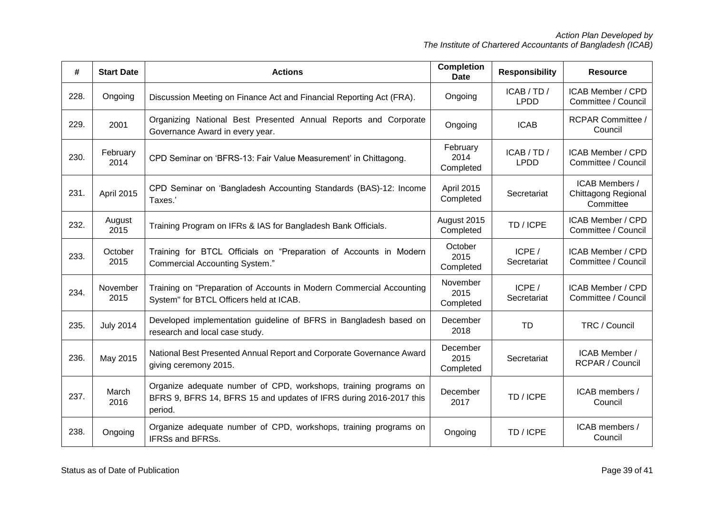| #    | <b>Start Date</b> | <b>Actions</b>                                                                                                                                    | <b>Completion</b><br><b>Date</b> | <b>Responsibility</b>   | <b>Resource</b>                                    |
|------|-------------------|---------------------------------------------------------------------------------------------------------------------------------------------------|----------------------------------|-------------------------|----------------------------------------------------|
| 228. | Ongoing           | Discussion Meeting on Finance Act and Financial Reporting Act (FRA).                                                                              | Ongoing                          | ICAB/TD/<br><b>LPDD</b> | ICAB Member / CPD<br>Committee / Council           |
| 229. | 2001              | Organizing National Best Presented Annual Reports and Corporate<br>Governance Award in every year.                                                | Ongoing                          | <b>ICAB</b>             | <b>RCPAR Committee /</b><br>Council                |
| 230. | February<br>2014  | CPD Seminar on 'BFRS-13: Fair Value Measurement' in Chittagong.                                                                                   | February<br>2014<br>Completed    | ICAB/TD/<br><b>LPDD</b> | <b>ICAB Member / CPD</b><br>Committee / Council    |
| 231. | April 2015        | CPD Seminar on 'Bangladesh Accounting Standards (BAS)-12: Income<br>Taxes.'                                                                       | April 2015<br>Completed          | Secretariat             | ICAB Members /<br>Chittagong Regional<br>Committee |
| 232. | August<br>2015    | Training Program on IFRs & IAS for Bangladesh Bank Officials.                                                                                     | August 2015<br>Completed         | TD / ICPE               | ICAB Member / CPD<br>Committee / Council           |
| 233. | October<br>2015   | Training for BTCL Officials on "Preparation of Accounts in Modern<br><b>Commercial Accounting System."</b>                                        | October<br>2015<br>Completed     | ICPE /<br>Secretariat   | ICAB Member / CPD<br>Committee / Council           |
| 234. | November<br>2015  | Training on "Preparation of Accounts in Modern Commercial Accounting<br>System" for BTCL Officers held at ICAB.                                   | November<br>2015<br>Completed    | ICPE/<br>Secretariat    | ICAB Member / CPD<br>Committee / Council           |
| 235. | <b>July 2014</b>  | Developed implementation guideline of BFRS in Bangladesh based on<br>research and local case study.                                               | December<br>2018                 | <b>TD</b>               | TRC / Council                                      |
| 236. | May 2015          | National Best Presented Annual Report and Corporate Governance Award<br>giving ceremony 2015.                                                     | December<br>2015<br>Completed    | Secretariat             | ICAB Member /<br>RCPAR / Council                   |
| 237. | March<br>2016     | Organize adequate number of CPD, workshops, training programs on<br>BFRS 9, BFRS 14, BFRS 15 and updates of IFRS during 2016-2017 this<br>period. | December<br>2017                 | TD / ICPE               | ICAB members /<br>Council                          |
| 238. | Ongoing           | Organize adequate number of CPD, workshops, training programs on<br><b>IFRSs and BFRSs.</b>                                                       | Ongoing                          | TD / ICPE               | ICAB members /<br>Council                          |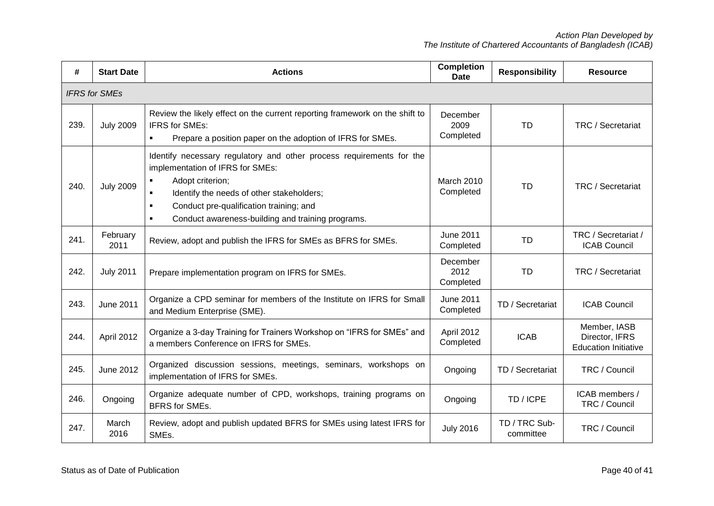| #    | <b>Start Date</b>    | <b>Actions</b>                                                                                                                                                                                                                                                                                                                                    | <b>Completion</b><br><b>Date</b> | <b>Responsibility</b>      | <b>Resource</b>                                               |  |  |  |
|------|----------------------|---------------------------------------------------------------------------------------------------------------------------------------------------------------------------------------------------------------------------------------------------------------------------------------------------------------------------------------------------|----------------------------------|----------------------------|---------------------------------------------------------------|--|--|--|
|      | <b>IFRS for SMEs</b> |                                                                                                                                                                                                                                                                                                                                                   |                                  |                            |                                                               |  |  |  |
| 239. | <b>July 2009</b>     | Review the likely effect on the current reporting framework on the shift to<br>IFRS for SMEs:<br>Prepare a position paper on the adoption of IFRS for SMEs.<br>$\blacksquare$                                                                                                                                                                     | December<br>2009<br>Completed    | <b>TD</b>                  | TRC / Secretariat                                             |  |  |  |
| 240. | <b>July 2009</b>     | Identify necessary regulatory and other process requirements for the<br>implementation of IFRS for SMEs:<br>Adopt criterion;<br>$\blacksquare$<br>Identify the needs of other stakeholders;<br>$\blacksquare$<br>Conduct pre-qualification training; and<br>$\blacksquare$<br>Conduct awareness-building and training programs.<br>$\blacksquare$ | <b>March 2010</b><br>Completed   | <b>TD</b>                  | TRC / Secretariat                                             |  |  |  |
| 241. | February<br>2011     | Review, adopt and publish the IFRS for SMEs as BFRS for SMEs.                                                                                                                                                                                                                                                                                     | <b>June 2011</b><br>Completed    | <b>TD</b>                  | TRC / Secretariat /<br><b>ICAB Council</b>                    |  |  |  |
| 242. | <b>July 2011</b>     | Prepare implementation program on IFRS for SMEs.                                                                                                                                                                                                                                                                                                  | December<br>2012<br>Completed    | <b>TD</b>                  | TRC / Secretariat                                             |  |  |  |
| 243. | <b>June 2011</b>     | Organize a CPD seminar for members of the Institute on IFRS for Small<br>and Medium Enterprise (SME).                                                                                                                                                                                                                                             | <b>June 2011</b><br>Completed    | TD / Secretariat           | <b>ICAB Council</b>                                           |  |  |  |
| 244. | April 2012           | Organize a 3-day Training for Trainers Workshop on "IFRS for SMEs" and<br>a members Conference on IFRS for SMEs.                                                                                                                                                                                                                                  | April 2012<br>Completed          | <b>ICAB</b>                | Member, IASB<br>Director, IFRS<br><b>Education Initiative</b> |  |  |  |
| 245. | <b>June 2012</b>     | Organized discussion sessions, meetings, seminars, workshops on<br>implementation of IFRS for SMEs.                                                                                                                                                                                                                                               | Ongoing                          | TD / Secretariat           | TRC / Council                                                 |  |  |  |
| 246. | Ongoing              | Organize adequate number of CPD, workshops, training programs on<br><b>BFRS</b> for SMEs.                                                                                                                                                                                                                                                         | Ongoing                          | TD / ICPE                  | ICAB members /<br>TRC / Council                               |  |  |  |
| 247. | March<br>2016        | Review, adopt and publish updated BFRS for SMEs using latest IFRS for<br>SME <sub>s</sub> .                                                                                                                                                                                                                                                       | <b>July 2016</b>                 | TD / TRC Sub-<br>committee | TRC / Council                                                 |  |  |  |